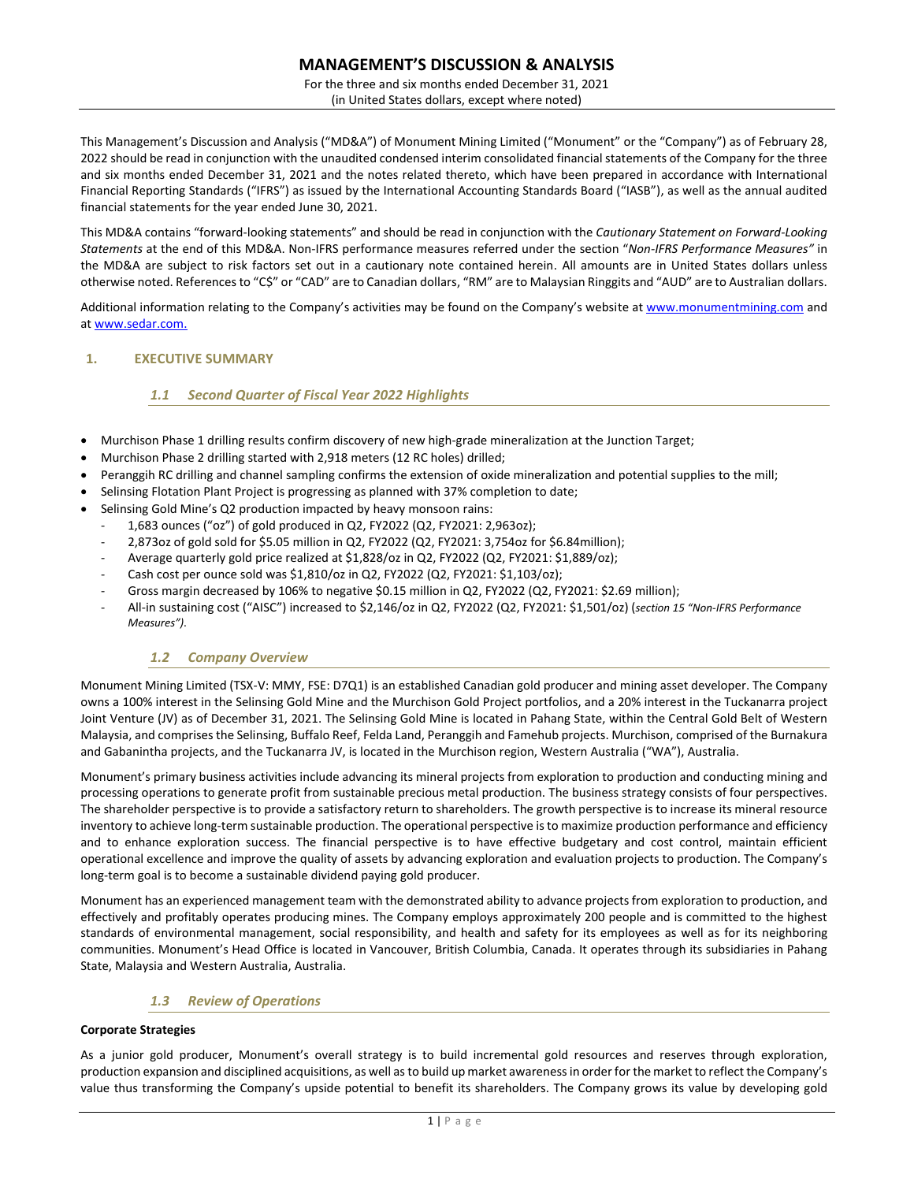For the three and six months ended December 31, 2021 (in United States dollars, except where noted)

This Management's Discussion and Analysis ("MD&A") of Monument Mining Limited ("Monument" or the "Company") as of February 28, 2022 should be read in conjunction with the unaudited condensed interim consolidated financial statements of the Company for the three and six months ended December 31, 2021 and the notes related thereto, which have been prepared in accordance with International Financial Reporting Standards ("IFRS") as issued by the International Accounting Standards Board ("IASB"), as well as the annual audited financial statements for the year ended June 30, 2021.

This MD&A contains "forward-looking statements" and should be read in conjunction with the *Cautionary Statement on Forward-Looking Statements* at the end of this MD&A. Non-IFRS performance measures referred under the section "*Non-IFRS Performance Measures"* in the MD&A are subject to risk factors set out in a cautionary note contained herein. All amounts are in United States dollars unless otherwise noted. References to "C\$" or "CAD" are to Canadian dollars, "RM" are to Malaysian Ringgits and "AUD" are to Australian dollars.

Additional information relating to the Company's activities may be found on the Company's website at [www.monumentmining.com](http://www.monumentmining.com/) and a[t www.sedar.com.](http://www.sedar.com.asd/)

# **1. EXECUTIVE SUMMARY**

# *1.1 Second Quarter of Fiscal Year 2022 Highlights*

- Murchison Phase 1 drilling results confirm discovery of new high-grade mineralization at the Junction Target;
- Murchison Phase 2 drilling started with 2,918 meters (12 RC holes) drilled;
- Peranggih RC drilling and channel sampling confirms the extension of oxide mineralization and potential supplies to the mill;
- Selinsing Flotation Plant Project is progressing as planned with 37% completion to date;
- Selinsing Gold Mine's Q2 production impacted by heavy monsoon rains:
- 1,683 ounces ("oz") of gold produced in Q2, FY2022 (Q2, FY2021: 2,963oz);
- 2,873oz of gold sold for \$5.05 million in Q2, FY2022 (Q2, FY2021: 3,754oz for \$6.84million);
- Average quarterly gold price realized at \$1,828/oz in Q2, FY2022 (Q2, FY2021: \$1,889/oz);
- Cash cost per ounce sold was \$1,810/oz in Q2, FY2022 (Q2, FY2021: \$1,103/oz);
- Gross margin decreased by 106% to negative \$0.15 million in Q2, FY2022 (Q2, FY2021: \$2.69 million);
- All-in sustaining cost ("AISC") increased to \$2,146/oz in Q2, FY2022 (Q2, FY2021: \$1,501/oz) (*section 15 "Non-IFRS Performance Measures")*.

# *1.2 Company Overview*

Monument Mining Limited (TSX-V: MMY, FSE: D7Q1) is an established Canadian gold producer and mining asset developer. The Company owns a 100% interest in the Selinsing Gold Mine and the Murchison Gold Project portfolios, and a 20% interest in the Tuckanarra project Joint Venture (JV) as of December 31, 2021. The Selinsing Gold Mine is located in Pahang State, within the Central Gold Belt of Western Malaysia, and comprises the Selinsing, Buffalo Reef, Felda Land, Peranggih and Famehub projects. Murchison, comprised of the Burnakura and Gabanintha projects, and the Tuckanarra JV, is located in the Murchison region, Western Australia ("WA"), Australia.

Monument's primary business activities include advancing its mineral projects from exploration to production and conducting mining and processing operations to generate profit from sustainable precious metal production. The business strategy consists of four perspectives. The shareholder perspective is to provide a satisfactory return to shareholders. The growth perspective is to increase its mineral resource inventory to achieve long-term sustainable production. The operational perspective is to maximize production performance and efficiency and to enhance exploration success. The financial perspective is to have effective budgetary and cost control, maintain efficient operational excellence and improve the quality of assets by advancing exploration and evaluation projects to production. The Company's long-term goal is to become a sustainable dividend paying gold producer.

Monument has an experienced management team with the demonstrated ability to advance projects from exploration to production, and effectively and profitably operates producing mines. The Company employs approximately 200 people and is committed to the highest standards of environmental management, social responsibility, and health and safety for its employees as well as for its neighboring communities. Monument's Head Office is located in Vancouver, British Columbia, Canada. It operates through its subsidiaries in Pahang State, Malaysia and Western Australia, Australia.

# *1.3 Review of Operations*

# **Corporate Strategies**

As a junior gold producer, Monument's overall strategy is to build incremental gold resources and reserves through exploration, production expansion and disciplined acquisitions, as well as to build up market awareness in order for the market to reflect the Company's value thus transforming the Company's upside potential to benefit its shareholders. The Company grows its value by developing gold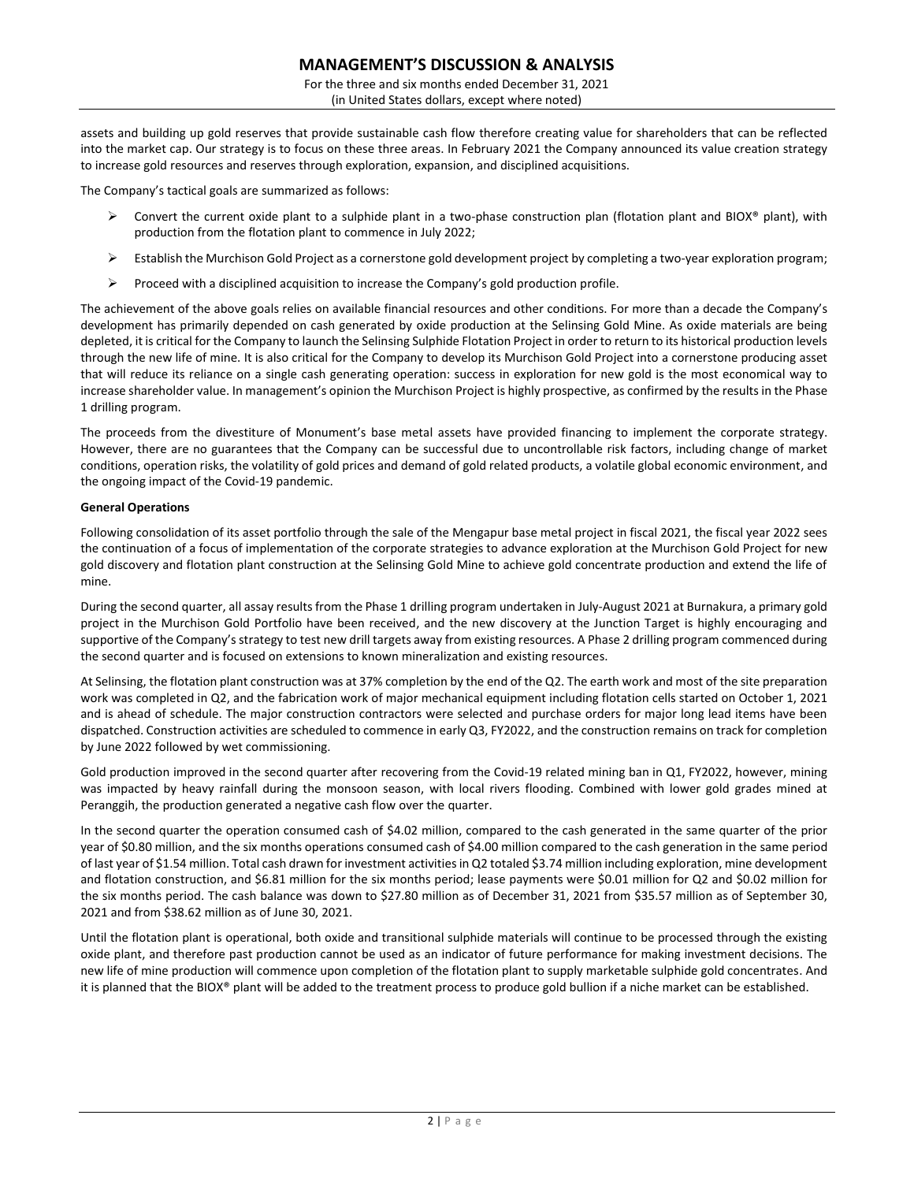For the three and six months ended December 31, 2021 (in United States dollars, except where noted)

assets and building up gold reserves that provide sustainable cash flow therefore creating value for shareholders that can be reflected into the market cap. Our strategy is to focus on these three areas. In February 2021 the Company announced its value creation strategy to increase gold resources and reserves through exploration, expansion, and disciplined acquisitions.

The Company's tactical goals are summarized as follows:

- ➢ Convert the current oxide plant to a sulphide plant in a two-phase construction plan (flotation plant and BIOX® plant), with production from the flotation plant to commence in July 2022;
- ➢ Establish the Murchison Gold Project as a cornerstone gold development project by completing a two-year exploration program;
- $\triangleright$  Proceed with a disciplined acquisition to increase the Company's gold production profile.

The achievement of the above goals relies on available financial resources and other conditions. For more than a decade the Company's development has primarily depended on cash generated by oxide production at the Selinsing Gold Mine. As oxide materials are being depleted, it is critical for the Company to launch the Selinsing Sulphide Flotation Project in order to return to its historical production levels through the new life of mine. It is also critical for the Company to develop its Murchison Gold Project into a cornerstone producing asset that will reduce its reliance on a single cash generating operation: success in exploration for new gold is the most economical way to increase shareholder value. In management's opinion the Murchison Project is highly prospective, as confirmed by the results in the Phase 1 drilling program.

The proceeds from the divestiture of Monument's base metal assets have provided financing to implement the corporate strategy. However, there are no guarantees that the Company can be successful due to uncontrollable risk factors, including change of market conditions, operation risks, the volatility of gold prices and demand of gold related products, a volatile global economic environment, and the ongoing impact of the Covid-19 pandemic.

### **General Operations**

Following consolidation of its asset portfolio through the sale of the Mengapur base metal project in fiscal 2021, the fiscal year 2022 sees the continuation of a focus of implementation of the corporate strategies to advance exploration at the Murchison Gold Project for new gold discovery and flotation plant construction at the Selinsing Gold Mine to achieve gold concentrate production and extend the life of mine.

During the second quarter, all assay results from the Phase 1 drilling program undertaken in July-August 2021 at Burnakura, a primary gold project in the Murchison Gold Portfolio have been received, and the new discovery at the Junction Target is highly encouraging and supportive of the Company's strategy to test new drill targets away from existing resources. A Phase 2 drilling program commenced during the second quarter and is focused on extensions to known mineralization and existing resources.

At Selinsing, the flotation plant construction was at 37% completion by the end of the Q2. The earth work and most of the site preparation work was completed in Q2, and the fabrication work of major mechanical equipment including flotation cells started on October 1, 2021 and is ahead of schedule. The major construction contractors were selected and purchase orders for major long lead items have been dispatched. Construction activities are scheduled to commence in early Q3, FY2022, and the construction remains on track for completion by June 2022 followed by wet commissioning.

Gold production improved in the second quarter after recovering from the Covid-19 related mining ban in Q1, FY2022, however, mining was impacted by heavy rainfall during the monsoon season, with local rivers flooding. Combined with lower gold grades mined at Peranggih, the production generated a negative cash flow over the quarter.

In the second quarter the operation consumed cash of \$4.02 million, compared to the cash generated in the same quarter of the prior year of \$0.80 million, and the six months operations consumed cash of \$4.00 million compared to the cash generation in the same period of last year of \$1.54 million. Total cash drawn for investment activities in Q2 totaled \$3.74 million including exploration, mine development and flotation construction, and \$6.81 million for the six months period; lease payments were \$0.01 million for Q2 and \$0.02 million for the six months period. The cash balance was down to \$27.80 million as of December 31, 2021 from \$35.57 million as of September 30, 2021 and from \$38.62 million as of June 30, 2021.

Until the flotation plant is operational, both oxide and transitional sulphide materials will continue to be processed through the existing oxide plant, and therefore past production cannot be used as an indicator of future performance for making investment decisions. The new life of mine production will commence upon completion of the flotation plant to supply marketable sulphide gold concentrates. And it is planned that the BIOX® plant will be added to the treatment process to produce gold bullion if a niche market can be established.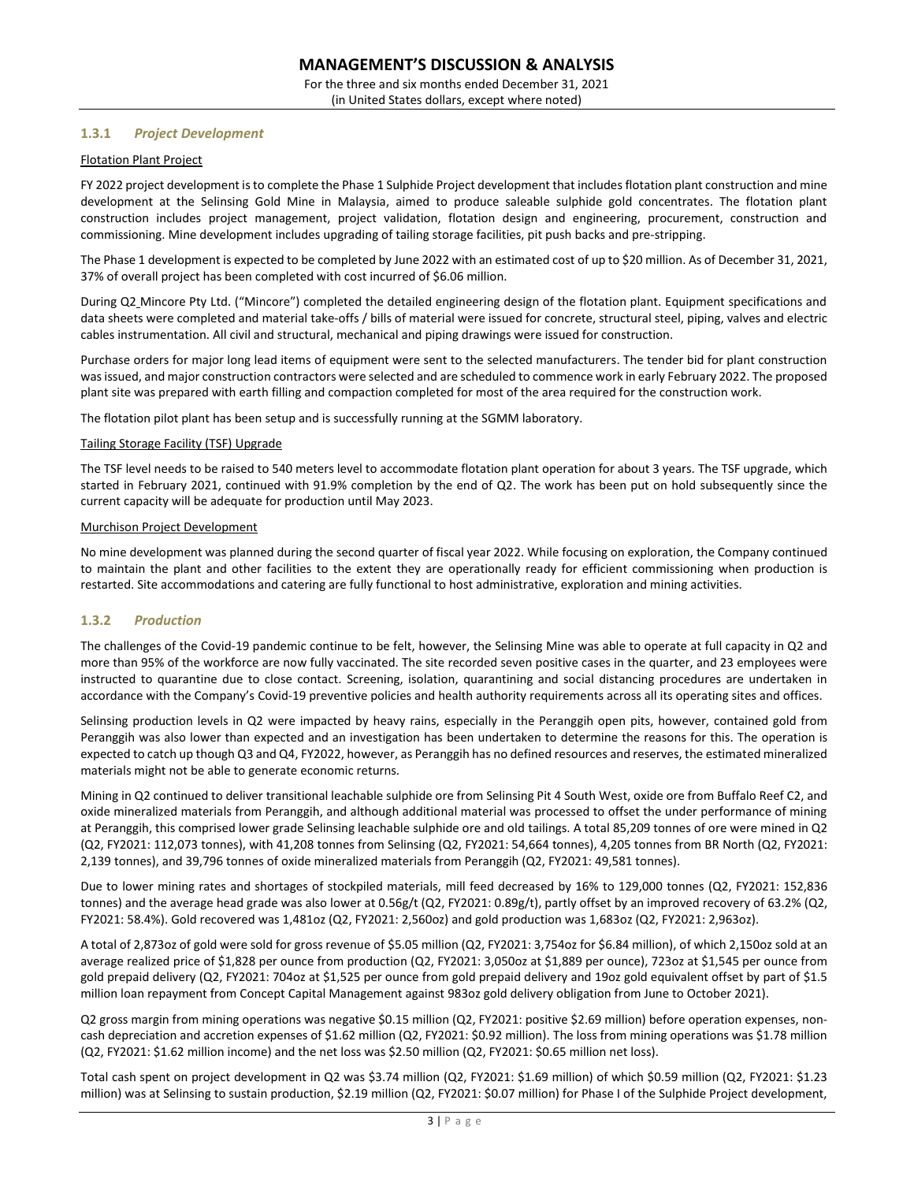For the three and six months ended December 31, 2021 (in United States dollars, except where noted)

# **1.3.1** *Project Development*

### Flotation Plant Project

FY 2022 project development is to complete the Phase 1 Sulphide Project development that includes flotation plant construction and mine development at the Selinsing Gold Mine in Malaysia, aimed to produce saleable sulphide gold concentrates. The flotation plant construction includes project management, project validation, flotation design and engineering, procurement, construction and commissioning. Mine development includes upgrading of tailing storage facilities, pit push backs and pre-stripping.

The Phase 1 development is expected to be completed by June 2022 with an estimated cost of up to \$20 million. As of December 31, 2021, 37% of overall project has been completed with cost incurred of \$6.06 million.

During Q2 Mincore Pty Ltd. ("Mincore") completed the detailed engineering design of the flotation plant. Equipment specifications and data sheets were completed and material take-offs / bills of material were issued for concrete, structural steel, piping, valves and electric cables instrumentation. All civil and structural, mechanical and piping drawings were issued for construction.

Purchase orders for major long lead items of equipment were sent to the selected manufacturers. The tender bid for plant construction was issued, and major construction contractors were selected and are scheduled to commence work in early February 2022. The proposed plant site was prepared with earth filling and compaction completed for most of the area required for the construction work.

The flotation pilot plant has been setup and is successfully running at the SGMM laboratory.

### Tailing Storage Facility (TSF) Upgrade

The TSF level needs to be raised to 540 meters level to accommodate flotation plant operation for about 3 years. The TSF upgrade, which started in February 2021, continued with 91.9% completion by the end of Q2. The work has been put on hold subsequently since the current capacity will be adequate for production until May 2023.

### Murchison Project Development

No mine development was planned during the second quarter of fiscal year 2022. While focusing on exploration, the Company continued to maintain the plant and other facilities to the extent they are operationally ready for efficient commissioning when production is restarted. Site accommodations and catering are fully functional to host administrative, exploration and mining activities.

# **1.3.2** *Production*

The challenges of the Covid-19 pandemic continue to be felt, however, the Selinsing Mine was able to operate at full capacity in Q2 and more than 95% of the workforce are now fully vaccinated. The site recorded seven positive cases in the quarter, and 23 employees were instructed to quarantine due to close contact. Screening, isolation, quarantining and social distancing procedures are undertaken in accordance with the Company's Covid-19 preventive policies and health authority requirements across all its operating sites and offices.

Selinsing production levels in Q2 were impacted by heavy rains, especially in the Peranggih open pits, however, contained gold from Peranggih was also lower than expected and an investigation has been undertaken to determine the reasons for this. The operation is expected to catch up though Q3 and Q4, FY2022, however, as Peranggih has no defined resources and reserves, the estimated mineralized materials might not be able to generate economic returns.

Mining in Q2 continued to deliver transitional leachable sulphide ore from Selinsing Pit 4 South West, oxide ore from Buffalo Reef C2, and oxide mineralized materials from Peranggih, and although additional material was processed to offset the under performance of mining at Peranggih, this comprised lower grade Selinsing leachable sulphide ore and old tailings. A total 85,209 tonnes of ore were mined in Q2 (Q2, FY2021: 112,073 tonnes), with 41,208 tonnes from Selinsing (Q2, FY2021: 54,664 tonnes), 4,205 tonnes from BR North (Q2, FY2021: 2,139 tonnes), and 39,796 tonnes of oxide mineralized materials from Peranggih (Q2, FY2021: 49,581 tonnes).

Due to lower mining rates and shortages of stockpiled materials, mill feed decreased by 16% to 129,000 tonnes (Q2, FY2021: 152,836 tonnes) and the average head grade was also lower at 0.56g/t (Q2, FY2021: 0.89g/t), partly offset by an improved recovery of 63.2% (Q2, FY2021: 58.4%). Gold recovered was 1,481oz (Q2, FY2021: 2,560oz) and gold production was 1,683oz (Q2, FY2021: 2,963oz).

A total of 2,873oz of gold were sold for gross revenue of \$5.05 million (Q2, FY2021: 3,754oz for \$6.84 million), of which 2,150oz sold at an average realized price of \$1,828 per ounce from production (Q2, FY2021: 3,050oz at \$1,889 per ounce), 723oz at \$1,545 per ounce from gold prepaid delivery (Q2, FY2021: 704oz at \$1,525 per ounce from gold prepaid delivery and 19oz gold equivalent offset by part of \$1.5 million loan repayment from Concept Capital Management against 983oz gold delivery obligation from June to October 2021).

Q2 gross margin from mining operations was negative \$0.15 million (Q2, FY2021: positive \$2.69 million) before operation expenses, noncash depreciation and accretion expenses of \$1.62 million (Q2, FY2021: \$0.92 million). The loss from mining operations was \$1.78 million (Q2, FY2021: \$1.62 million income) and the net loss was \$2.50 million (Q2, FY2021: \$0.65 million net loss).

Total cash spent on project development in Q2 was \$3.74 million (Q2, FY2021: \$1.69 million) of which \$0.59 million (Q2, FY2021: \$1.23 million) was at Selinsing to sustain production, \$2.19 million (Q2, FY2021: \$0.07 million) for Phase I of the Sulphide Project development,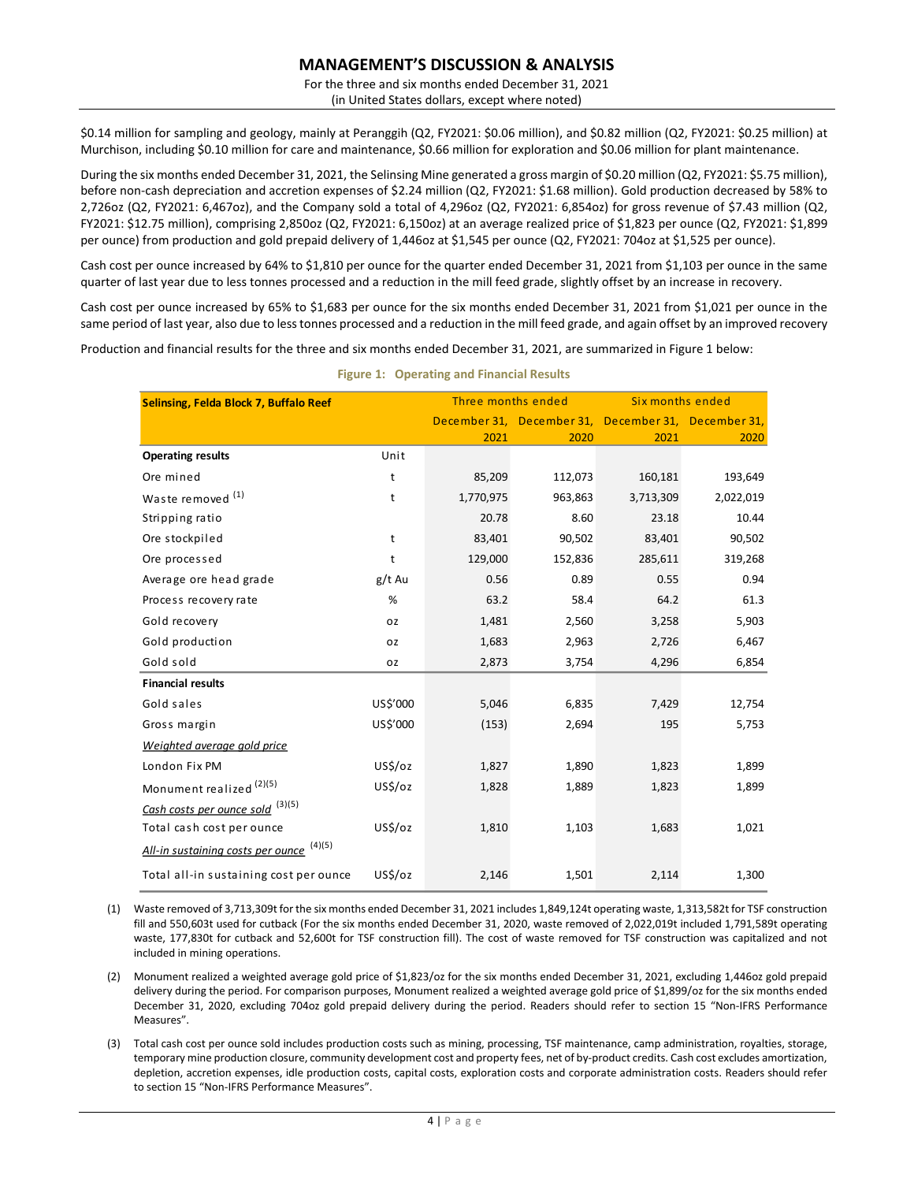For the three and six months ended December 31, 2021 (in United States dollars, except where noted)

\$0.14 million for sampling and geology, mainly at Peranggih (Q2, FY2021: \$0.06 million), and \$0.82 million (Q2, FY2021: \$0.25 million) at Murchison, including \$0.10 million for care and maintenance, \$0.66 million for exploration and \$0.06 million for plant maintenance.

During the six months ended December 31, 2021, the Selinsing Mine generated a gross margin of \$0.20 million (Q2, FY2021: \$5.75 million), before non-cash depreciation and accretion expenses of \$2.24 million (Q2, FY2021: \$1.68 million). Gold production decreased by 58% to 2,726oz (Q2, FY2021: 6,467oz), and the Company sold a total of 4,296oz (Q2, FY2021: 6,854oz) for gross revenue of \$7.43 million (Q2, FY2021: \$12.75 million), comprising 2,850oz (Q2, FY2021: 6,150oz) at an average realized price of \$1,823 per ounce (Q2, FY2021: \$1,899 per ounce) from production and gold prepaid delivery of 1,446oz at \$1,545 per ounce (Q2, FY2021: 704oz at \$1,525 per ounce).

Cash cost per ounce increased by 64% to \$1,810 per ounce for the quarter ended December 31, 2021 from \$1,103 per ounce in the same quarter of last year due to less tonnes processed and a reduction in the mill feed grade, slightly offset by an increase in recovery.

Cash cost per ounce increased by 65% to \$1,683 per ounce for the six months ended December 31, 2021 from \$1,021 per ounce in the same period of last year, also due to less tonnes processed and a reduction in the mill feed grade, and again offset by an improved recovery

Production and financial results for the three and six months ended December 31, 2021, are summarized in Figure 1 below:

| Selinsing, Felda Block 7, Buffalo Reef      |          | Three months ended |         | Six months ended                                    |           |
|---------------------------------------------|----------|--------------------|---------|-----------------------------------------------------|-----------|
|                                             |          |                    |         | December 31, December 31, December 31, December 31, |           |
|                                             |          | 2021               | 2020    | 2021                                                | 2020      |
| <b>Operating results</b>                    | Unit     |                    |         |                                                     |           |
| Ore mined                                   | t        | 85,209             | 112,073 | 160,181                                             | 193,649   |
| Waste removed <sup>(1)</sup>                | t        | 1,770,975          | 963,863 | 3,713,309                                           | 2,022,019 |
| Stripping ratio                             |          | 20.78              | 8.60    | 23.18                                               | 10.44     |
| Ore stockpiled                              | t        | 83,401             | 90,502  | 83,401                                              | 90,502    |
| Ore processed                               | t        | 129,000            | 152,836 | 285,611                                             | 319,268   |
| Average ore head grade                      | g/t Au   | 0.56               | 0.89    | 0.55                                                | 0.94      |
| Process recovery rate                       | %        | 63.2               | 58.4    | 64.2                                                | 61.3      |
| Gold recovery                               | 0Z       | 1,481              | 2,560   | 3,258                                               | 5,903     |
| Gold production                             | 0Z       | 1,683              | 2,963   | 2,726                                               | 6,467     |
| Gold sold                                   | 0Z       | 2,873              | 3,754   | 4,296                                               | 6,854     |
| <b>Financial results</b>                    |          |                    |         |                                                     |           |
| Gold sales                                  | US\$'000 | 5,046              | 6,835   | 7,429                                               | 12,754    |
| Gross margin                                | US\$'000 | (153)              | 2,694   | 195                                                 | 5,753     |
| Weighted average gold price                 |          |                    |         |                                                     |           |
| London Fix PM                               | US\$/oz  | 1,827              | 1,890   | 1,823                                               | 1,899     |
| Monument realized <sup>(2)(5)</sup>         | US\$/oz  | 1,828              | 1,889   | 1,823                                               | 1,899     |
| Cash costs per ounce sold <sup>(3)(5)</sup> |          |                    |         |                                                     |           |
| Total cash cost per ounce                   | US\$/oz  | 1,810              | 1,103   | 1,683                                               | 1,021     |
| (4)(5)<br>All-in sustaining costs per ounce |          |                    |         |                                                     |           |
| Total all-in sustaining cost per ounce      | US\$/oz  | 2,146              | 1,501   | 2,114                                               | 1,300     |

### **Figure 1: Operating and Financial Results**

(1) Waste removed of 3,713,309t for the six months ended December 31, 2021 includes 1,849,124t operating waste, 1,313,582t for TSF construction fill and 550,603t used for cutback (For the six months ended December 31, 2020, waste removed of 2,022,019t included 1,791,589t operating waste, 177,830t for cutback and 52,600t for TSF construction fill). The cost of waste removed for TSF construction was capitalized and not included in mining operations.

(2) Monument realized a weighted average gold price of \$1,823/oz for the six months ended December 31, 2021, excluding 1,446oz gold prepaid delivery during the period. For comparison purposes, Monument realized a weighted average gold price of \$1,899/oz for the six months ended December 31, 2020, excluding 704oz gold prepaid delivery during the period. Readers should refer to section 15 "Non-IFRS Performance Measures".

(3) Total cash cost per ounce sold includes production costs such as mining, processing, TSF maintenance, camp administration, royalties, storage, temporary mine production closure, community development cost and property fees, net of by-product credits. Cash cost excludes amortization, depletion, accretion expenses, idle production costs, capital costs, exploration costs and corporate administration costs. Readers should refer to section 15 "Non-IFRS Performance Measures".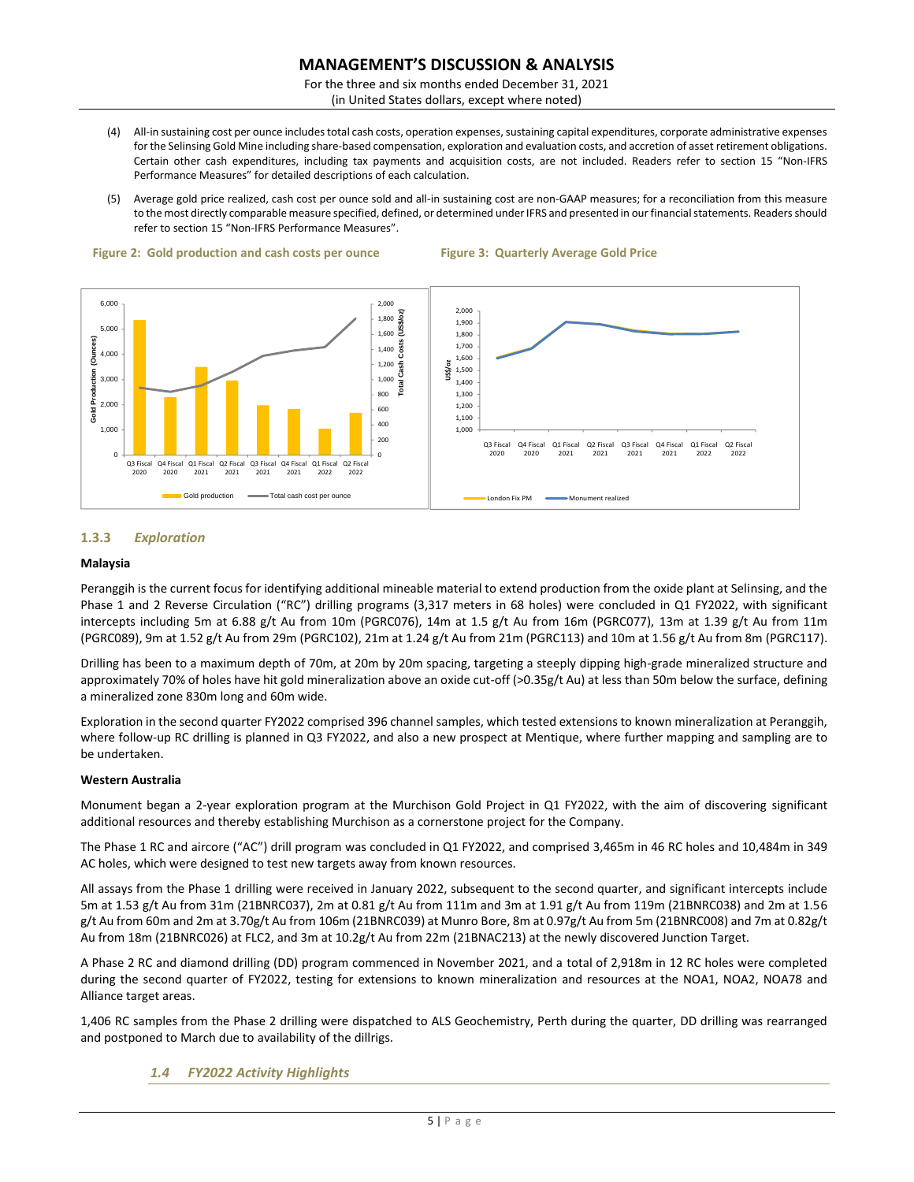For the three and six months ended December 31, 2021 (in United States dollars, except where noted)

- (4) All-in sustaining cost per ounce includes total cash costs, operation expenses, sustaining capital expenditures, corporate administrative expenses for the Selinsing Gold Mine including share-based compensation, exploration and evaluation costs, and accretion of asset retirement obligations. Certain other cash expenditures, including tax payments and acquisition costs, are not included. Readers refer to section 15 "Non-IFRS Performance Measures" for detailed descriptions of each calculation.
- (5) Average gold price realized, cash cost per ounce sold and all-in sustaining cost are non-GAAP measures; for a reconciliation from this measure to the most directly comparable measure specified, defined, or determined under IFRS and presented in our financial statements. Readers should refer to section 15 "Non-IFRS Performance Measures".







# **1.3.3** *Exploration*

### **Malaysia**

Peranggih is the current focus for identifying additional mineable material to extend production from the oxide plant at Selinsing, and the Phase 1 and 2 Reverse Circulation ("RC") drilling programs (3,317 meters in 68 holes) were concluded in Q1 FY2022, with significant intercepts including 5m at 6.88 g/t Au from 10m (PGRC076), 14m at 1.5 g/t Au from 16m (PGRC077), 13m at 1.39 g/t Au from 11m (PGRC089), 9m at 1.52 g/t Au from 29m (PGRC102), 21m at 1.24 g/t Au from 21m (PGRC113) and 10m at 1.56 g/t Au from 8m (PGRC117).

Drilling has been to a maximum depth of 70m, at 20m by 20m spacing, targeting a steeply dipping high-grade mineralized structure and approximately 70% of holes have hit gold mineralization above an oxide cut-off (>0.35g/t Au) at less than 50m below the surface, defining a mineralized zone 830m long and 60m wide.

Exploration in the second quarter FY2022 comprised 396 channel samples, which tested extensions to known mineralization at Peranggih, where follow-up RC drilling is planned in Q3 FY2022, and also a new prospect at Mentique, where further mapping and sampling are to be undertaken.

# **Western Australia**

Monument began a 2-year exploration program at the Murchison Gold Project in Q1 FY2022, with the aim of discovering significant additional resources and thereby establishing Murchison as a cornerstone project for the Company.

The Phase 1 RC and aircore ("AC") drill program was concluded in Q1 FY2022, and comprised 3,465m in 46 RC holes and 10,484m in 349 AC holes, which were designed to test new targets away from known resources.

All assays from the Phase 1 drilling were received in January 2022, subsequent to the second quarter, and significant intercepts include 5m at 1.53 g/t Au from 31m (21BNRC037), 2m at 0.81 g/t Au from 111m and 3m at 1.91 g/t Au from 119m (21BNRC038) and 2m at 1.56 g/t Au from 60m and 2m at 3.70g/t Au from 106m (21BNRC039) at Munro Bore, 8m at 0.97g/t Au from 5m (21BNRC008) and 7m at 0.82g/t Au from 18m (21BNRC026) at FLC2, and 3m at 10.2g/t Au from 22m (21BNAC213) at the newly discovered Junction Target.

A Phase 2 RC and diamond drilling (DD) program commenced in November 2021, and a total of 2,918m in 12 RC holes were completed during the second quarter of FY2022, testing for extensions to known mineralization and resources at the NOA1, NOA2, NOA78 and Alliance target areas.

1,406 RC samples from the Phase 2 drilling were dispatched to ALS Geochemistry, Perth during the quarter, DD drilling was rearranged and postponed to March due to availability of the dillrigs.

# *1.4 FY2022 Activity Highlights*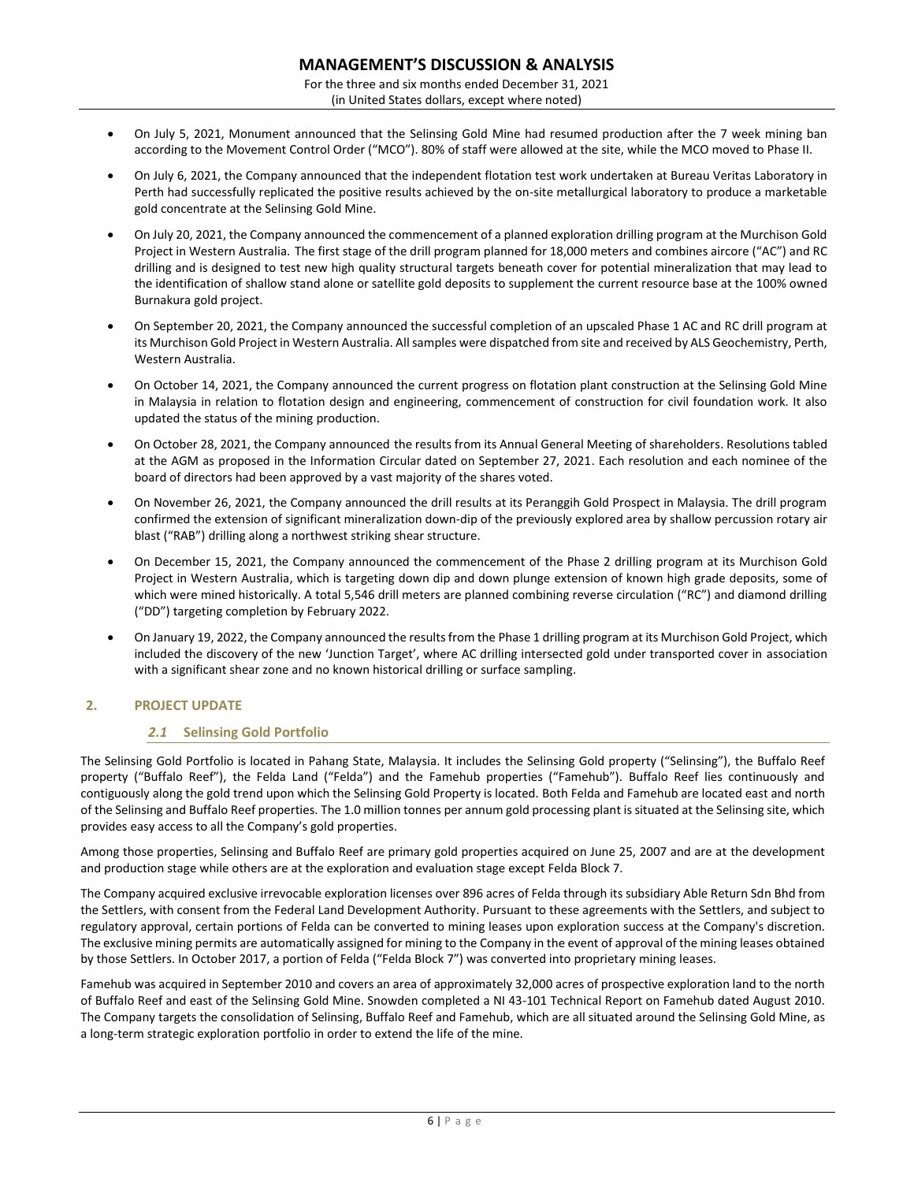For the three and six months ended December 31, 2021 (in United States dollars, except where noted)

- On July 5, 2021, Monument announced that the Selinsing Gold Mine had resumed production after the 7 week mining ban according to the Movement Control Order ("MCO"). 80% of staff were allowed at the site, while the MCO moved to Phase II.
- On July 6, 2021, the Company announced that the independent flotation test work undertaken at Bureau Veritas Laboratory in Perth had successfully replicated the positive results achieved by the on-site metallurgical laboratory to produce a marketable gold concentrate at the Selinsing Gold Mine.
- On July 20, 2021, the Company announced the commencement of a planned exploration drilling program at the Murchison Gold Project in Western Australia. The first stage of the drill program planned for 18,000 meters and combines aircore ("AC") and RC drilling and is designed to test new high quality structural targets beneath cover for potential mineralization that may lead to the identification of shallow stand alone or satellite gold deposits to supplement the current resource base at the 100% owned Burnakura gold project.
- On September 20, 2021, the Company announced the successful completion of an upscaled Phase 1 AC and RC drill program at its Murchison Gold Project in Western Australia. All samples were dispatched from site and received by ALS Geochemistry, Perth, Western Australia.
- On October 14, 2021, the Company announced the current progress on flotation plant construction at the Selinsing Gold Mine in Malaysia in relation to flotation design and engineering, commencement of construction for civil foundation work. It also updated the status of the mining production.
- On October 28, 2021, the Company announced the results from its Annual General Meeting of shareholders. Resolutions tabled at the AGM as proposed in the Information Circular dated on September 27, 2021. Each resolution and each nominee of the board of directors had been approved by a vast majority of the shares voted.
- On November 26, 2021, the Company announced the drill results at its Peranggih Gold Prospect in Malaysia. The drill program confirmed the extension of significant mineralization down-dip of the previously explored area by shallow percussion rotary air blast ("RAB") drilling along a northwest striking shear structure.
- On December 15, 2021, the Company announced the commencement of the Phase 2 drilling program at its Murchison Gold Project in Western Australia, which is targeting down dip and down plunge extension of known high grade deposits, some of which were mined historically. A total 5,546 drill meters are planned combining reverse circulation ("RC") and diamond drilling ("DD") targeting completion by February 2022.
- On January 19, 2022, the Company announced the results from the Phase 1 drilling program at its Murchison Gold Project, which included the discovery of the new 'Junction Target', where AC drilling intersected gold under transported cover in association with a significant shear zone and no known historical drilling or surface sampling.

# **2. PROJECT UPDATE**

# *2.1* **Selinsing Gold Portfolio**

The Selinsing Gold Portfolio is located in Pahang State, Malaysia. It includes the Selinsing Gold property ("Selinsing"), the Buffalo Reef property ("Buffalo Reef"), the Felda Land ("Felda") and the Famehub properties ("Famehub"). Buffalo Reef lies continuously and contiguously along the gold trend upon which the Selinsing Gold Property is located. Both Felda and Famehub are located east and north of the Selinsing and Buffalo Reef properties. The 1.0 million tonnes per annum gold processing plant is situated at the Selinsing site, which provides easy access to all the Company's gold properties.

Among those properties, Selinsing and Buffalo Reef are primary gold properties acquired on June 25, 2007 and are at the development and production stage while others are at the exploration and evaluation stage except Felda Block 7.

The Company acquired exclusive irrevocable exploration licenses over 896 acres of Felda through its subsidiary Able Return Sdn Bhd from the Settlers, with consent from the Federal Land Development Authority. Pursuant to these agreements with the Settlers, and subject to regulatory approval, certain portions of Felda can be converted to mining leases upon exploration success at the Company's discretion. The exclusive mining permits are automatically assigned for mining to the Company in the event of approval of the mining leases obtained by those Settlers. In October 2017, a portion of Felda ("Felda Block 7") was converted into proprietary mining leases.

Famehub was acquired in September 2010 and covers an area of approximately 32,000 acres of prospective exploration land to the north of Buffalo Reef and east of the Selinsing Gold Mine. Snowden completed a NI 43-101 Technical Report on Famehub dated August 2010. The Company targets the consolidation of Selinsing, Buffalo Reef and Famehub, which are all situated around the Selinsing Gold Mine, as a long-term strategic exploration portfolio in order to extend the life of the mine.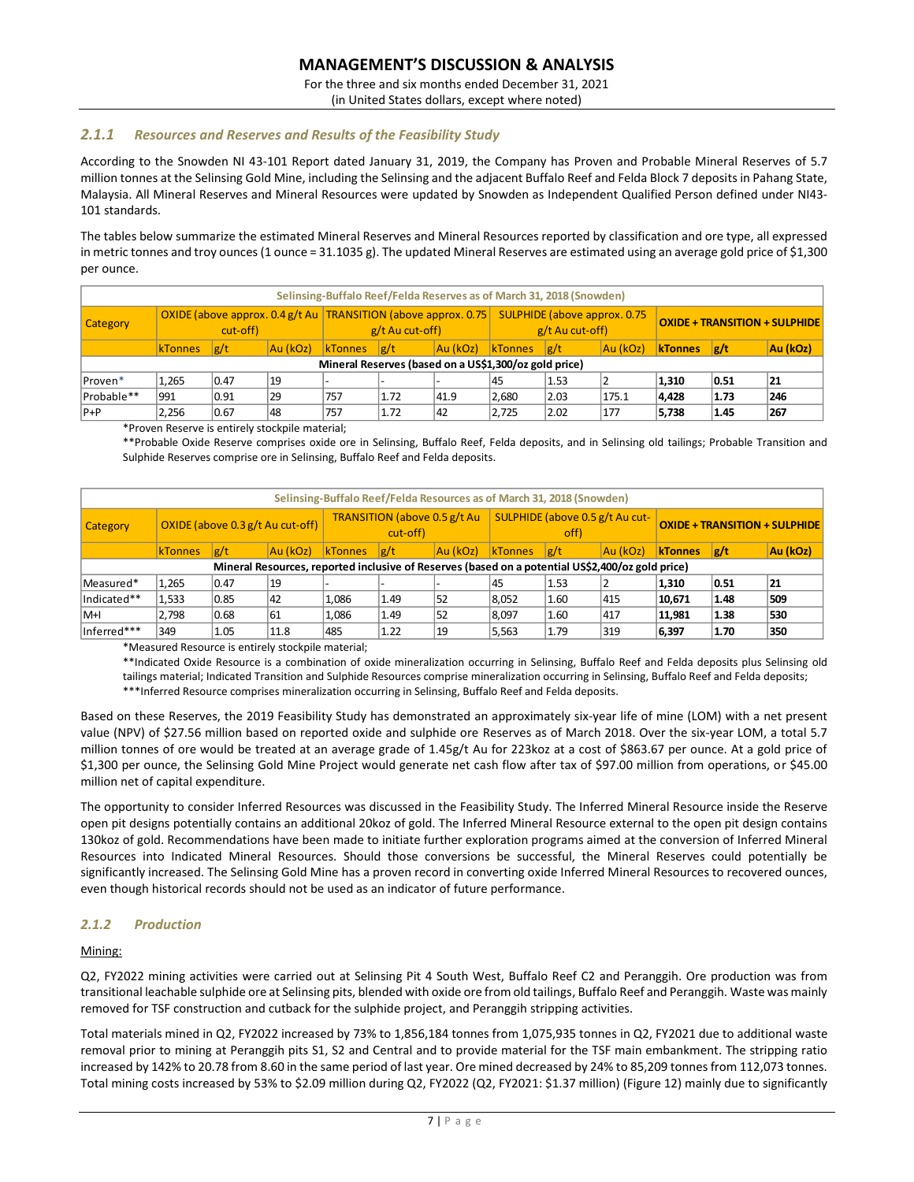For the three and six months ended December 31, 2021

(in United States dollars, except where noted)

# *2.1.1 Resources and Reserves and Results of the Feasibility Study*

According to the Snowden NI 43-101 Report dated January 31, 2019, the Company has Proven and Probable Mineral Reserves of 5.7 million tonnes at the Selinsing Gold Mine, including the Selinsing and the adjacent Buffalo Reef and Felda Block 7 deposits in Pahang State, Malaysia. All Mineral Reserves and Mineral Resources were updated by Snowden as Independent Qualified Person defined under NI43- 101 standards.

The tables below summarize the estimated Mineral Reserves and Mineral Resources reported by classification and ore type, all expressed in metric tonnes and troy ounces (1 ounce = 31.1035 g). The updated Mineral Reserves are estimated using an average gold price of \$1,300 per ounce.

|            | Selinsing-Buffalo Reef/Felda Reserves as of March 31, 2018 (Snowden)            |      |          |                |                                                                        |                                                       |                |      |          |                |                                      |          |
|------------|---------------------------------------------------------------------------------|------|----------|----------------|------------------------------------------------------------------------|-------------------------------------------------------|----------------|------|----------|----------------|--------------------------------------|----------|
| Category   | OXIDE (above approx. $0.4$ g/t Au   TRANSITION (above approx. 0.75)<br>cut-off) |      |          |                | SULPHIDE (above approx. 0.75<br>$g/t$ Au cut-off)<br>$g/t$ Au cut-off) |                                                       |                |      |          |                | <b>OXIDE + TRANSITION + SULPHIDE</b> |          |
|            | <b>KTonnes</b>                                                                  | g/t  | Au (kOz) | <b>kTonnes</b> | g/t                                                                    | Au (kOz)                                              | <b>kTonnes</b> | g/t  | Au (kOz) | <b>KTonnes</b> | g/t                                  | Au (kOz) |
|            |                                                                                 |      |          |                |                                                                        | Mineral Reserves (based on a US\$1,300/oz gold price) |                |      |          |                |                                      |          |
| Proven*    | 1,265                                                                           | 0.47 | 19       |                |                                                                        |                                                       | 145            | 1.53 |          | 1.310          | 0.51                                 | 21       |
| Probable** | 991                                                                             | 0.91 | 29       | 757            | 1.72                                                                   | 41.9                                                  | 2,680          | 2.03 | 175.1    | 4,428          | 1.73                                 | 246      |
| $ P+P $    | 2,256                                                                           | 0.67 | 48       | 757            | 1.72                                                                   | 42                                                    | 2,725          | 2.02 | 177      | 5,738          | 1.45                                 | 267      |

\*Proven Reserve is entirely stockpile material;

\*\*Probable Oxide Reserve comprises oxide ore in Selinsing, Buffalo Reef, Felda deposits, and in Selinsing old tailings; Probable Transition and Sulphide Reserves comprise ore in Selinsing, Buffalo Reef and Felda deposits.

|                 | Selinsing-Buffalo Reef/Felda Resources as of March 31, 2018 (Snowden) |      |                                                                                                  |                                          |      |                                         |                  |      |                                      |                |      |          |
|-----------------|-----------------------------------------------------------------------|------|--------------------------------------------------------------------------------------------------|------------------------------------------|------|-----------------------------------------|------------------|------|--------------------------------------|----------------|------|----------|
| <b>Category</b> |                                                                       |      | OXIDE (above 0.3 g/t Au cut-off)                                                                 | TRANSITION (above 0.5 g/t Au<br>cut-off) |      | SULPHIDE (above 0.5 g/t Au cut-<br>off) |                  |      | <b>OXIDE + TRANSITION + SULPHIDE</b> |                |      |          |
|                 | kTonnes                                                               | g/t  | Au (kOz)                                                                                         | <b>kTonnes</b>                           | g/t  | Au (kOz)                                | $k$ Tonnes $g/t$ |      | Au (kOz)                             | <b>kTonnes</b> | g/t  | Au (kOz) |
|                 |                                                                       |      | Mineral Resources, reported inclusive of Reserves (based on a potential US\$2,400/oz gold price) |                                          |      |                                         |                  |      |                                      |                |      |          |
| Measured*       | 1.265                                                                 | 0.47 | 19                                                                                               |                                          |      |                                         | 145              | 1.53 |                                      | 1,310          | 0.51 | 21       |
| Indicated**     | 1,533                                                                 | 0.85 | 42                                                                                               | 1.086                                    | 1.49 | 52                                      | 8.052            | 1.60 | 415                                  | 10,671         | 1.48 | 509      |
| M+I             | 2.798                                                                 | 0.68 | 61                                                                                               | 1,086                                    | 1.49 | 52                                      | 8,097            | 1.60 | 417                                  | 11,981         | 1.38 | 530      |
| Inferred***     | 349                                                                   | 1.05 | 11.8                                                                                             | 485                                      | 1.22 | 19                                      | 5,563            | 1.79 | 319                                  | 6,397          | 1.70 | 350      |

\*Measured Resource is entirely stockpile material;

\*\*Indicated Oxide Resource is a combination of oxide mineralization occurring in Selinsing, Buffalo Reef and Felda deposits plus Selinsing old tailings material; Indicated Transition and Sulphide Resources comprise mineralization occurring in Selinsing, Buffalo Reef and Felda deposits; \*\*\*Inferred Resource comprises mineralization occurring in Selinsing, Buffalo Reef and Felda deposits.

Based on these Reserves, the 2019 Feasibility Study has demonstrated an approximately six-year life of mine (LOM) with a net present value (NPV) of \$27.56 million based on reported oxide and sulphide ore Reserves as of March 2018. Over the six-year LOM, a total 5.7 million tonnes of ore would be treated at an average grade of 1.45g/t Au for 223koz at a cost of \$863.67 per ounce. At a gold price of \$1,300 per ounce, the Selinsing Gold Mine Project would generate net cash flow after tax of \$97.00 million from operations, or \$45.00 million net of capital expenditure.

The opportunity to consider Inferred Resources was discussed in the Feasibility Study. The Inferred Mineral Resource inside the Reserve open pit designs potentially contains an additional 20koz of gold. The Inferred Mineral Resource external to the open pit design contains 130koz of gold. Recommendations have been made to initiate further exploration programs aimed at the conversion of Inferred Mineral Resources into Indicated Mineral Resources. Should those conversions be successful, the Mineral Reserves could potentially be significantly increased. The Selinsing Gold Mine has a proven record in converting oxide Inferred Mineral Resources to recovered ounces, even though historical records should not be used as an indicator of future performance.

# *2.1.2 Production*

### Mining:

Q2, FY2022 mining activities were carried out at Selinsing Pit 4 South West, Buffalo Reef C2 and Peranggih. Ore production was from transitional leachable sulphide ore at Selinsing pits, blended with oxide ore from old tailings, Buffalo Reef and Peranggih. Waste was mainly removed for TSF construction and cutback for the sulphide project, and Peranggih stripping activities.

Total materials mined in Q2, FY2022 increased by 73% to 1,856,184 tonnes from 1,075,935 tonnes in Q2, FY2021 due to additional waste removal prior to mining at Peranggih pits S1, S2 and Central and to provide material for the TSF main embankment. The stripping ratio increased by 142% to 20.78 from 8.60 in the same period of last year. Ore mined decreased by 24% to 85,209 tonnes from 112,073 tonnes. Total mining costs increased by 53% to \$2.09 million during Q2, FY2022 (Q2, FY2021: \$1.37 million) (Figure 12) mainly due to significantly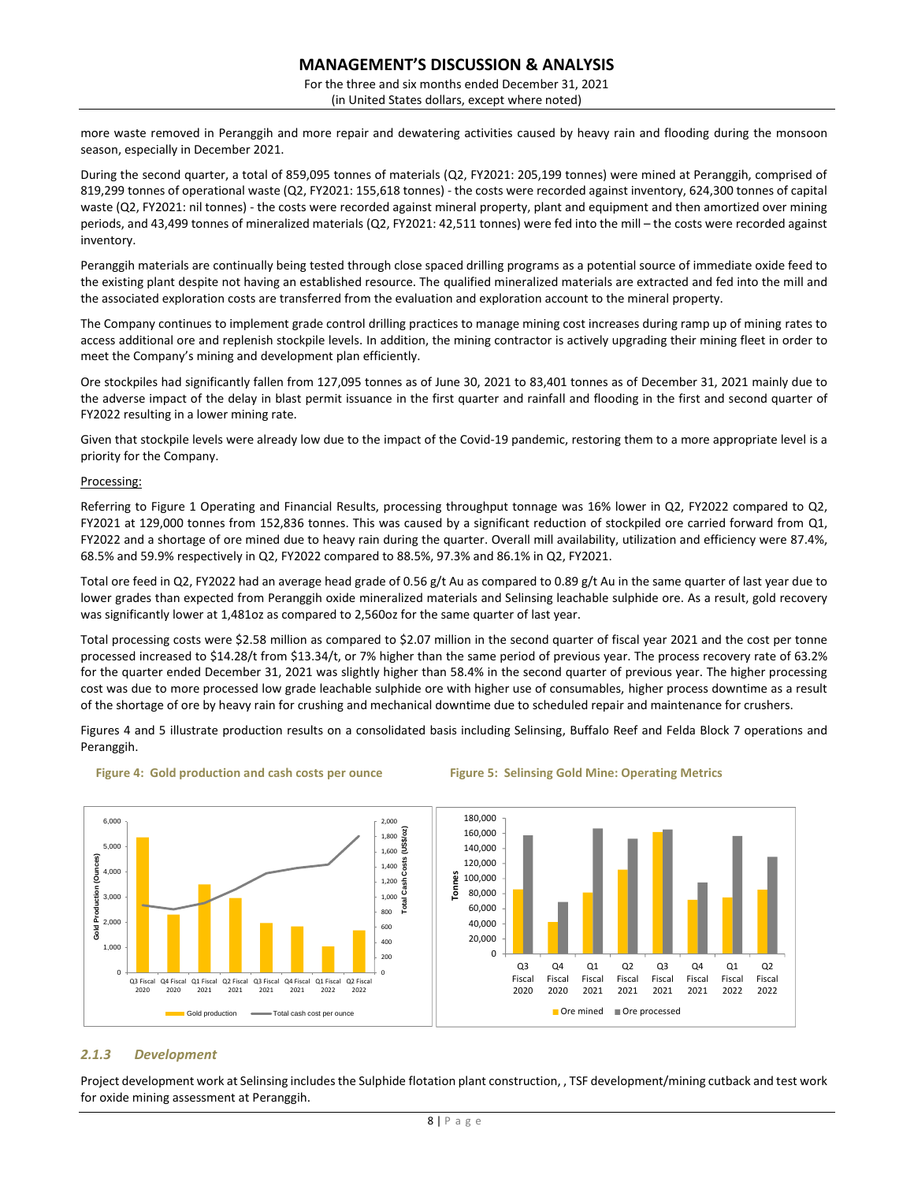For the three and six months ended December 31, 2021 (in United States dollars, except where noted)

more waste removed in Peranggih and more repair and dewatering activities caused by heavy rain and flooding during the monsoon season, especially in December 2021.

During the second quarter, a total of 859,095 tonnes of materials (Q2, FY2021: 205,199 tonnes) were mined at Peranggih, comprised of 819,299 tonnes of operational waste (Q2, FY2021: 155,618 tonnes) - the costs were recorded against inventory, 624,300 tonnes of capital waste (Q2, FY2021: nil tonnes) - the costs were recorded against mineral property, plant and equipment and then amortized over mining periods, and 43,499 tonnes of mineralized materials (Q2, FY2021: 42,511 tonnes) were fed into the mill – the costs were recorded against inventory.

Peranggih materials are continually being tested through close spaced drilling programs as a potential source of immediate oxide feed to the existing plant despite not having an established resource. The qualified mineralized materials are extracted and fed into the mill and the associated exploration costs are transferred from the evaluation and exploration account to the mineral property.

The Company continues to implement grade control drilling practices to manage mining cost increases during ramp up of mining rates to access additional ore and replenish stockpile levels. In addition, the mining contractor is actively upgrading their mining fleet in order to meet the Company's mining and development plan efficiently.

Ore stockpiles had significantly fallen from 127,095 tonnes as of June 30, 2021 to 83,401 tonnes as of December 31, 2021 mainly due to the adverse impact of the delay in blast permit issuance in the first quarter and rainfall and flooding in the first and second quarter of FY2022 resulting in a lower mining rate.

Given that stockpile levels were already low due to the impact of the Covid-19 pandemic, restoring them to a more appropriate level is a priority for the Company.

### Processing:

Referring to Figure 1 Operating and Financial Results, processing throughput tonnage was 16% lower in Q2, FY2022 compared to Q2, FY2021 at 129,000 tonnes from 152,836 tonnes. This was caused by a significant reduction of stockpiled ore carried forward from Q1, FY2022 and a shortage of ore mined due to heavy rain during the quarter. Overall mill availability, utilization and efficiency were 87.4%, 68.5% and 59.9% respectively in Q2, FY2022 compared to 88.5%, 97.3% and 86.1% in Q2, FY2021.

Total ore feed in Q2, FY2022 had an average head grade of 0.56 g/t Au as compared to 0.89 g/t Au in the same quarter of last year due to lower grades than expected from Peranggih oxide mineralized materials and Selinsing leachable sulphide ore. As a result, gold recovery was significantly lower at 1,481oz as compared to 2,560oz for the same quarter of last year.

Total processing costs were \$2.58 million as compared to \$2.07 million in the second quarter of fiscal year 2021 and the cost per tonne processed increased to \$14.28/t from \$13.34/t, or 7% higher than the same period of previous year. The process recovery rate of 63.2% for the quarter ended December 31, 2021 was slightly higher than 58.4% in the second quarter of previous year. The higher processing cost was due to more processed low grade leachable sulphide ore with higher use of consumables, higher process downtime as a result of the shortage of ore by heavy rain for crushing and mechanical downtime due to scheduled repair and maintenance for crushers.

Figures 4 and 5 illustrate production results on a consolidated basis including Selinsing, Buffalo Reef and Felda Block 7 operations and Peranggih.



**Figure 4: Gold production and cash costs per ounce Figure 5: Selinsing Gold Mine: Operating Metrics** 

# *2.1.3 Development*

Project development work at Selinsing includes the Sulphide flotation plant construction, , TSF development/mining cutback and test work for oxide mining assessment at Peranggih.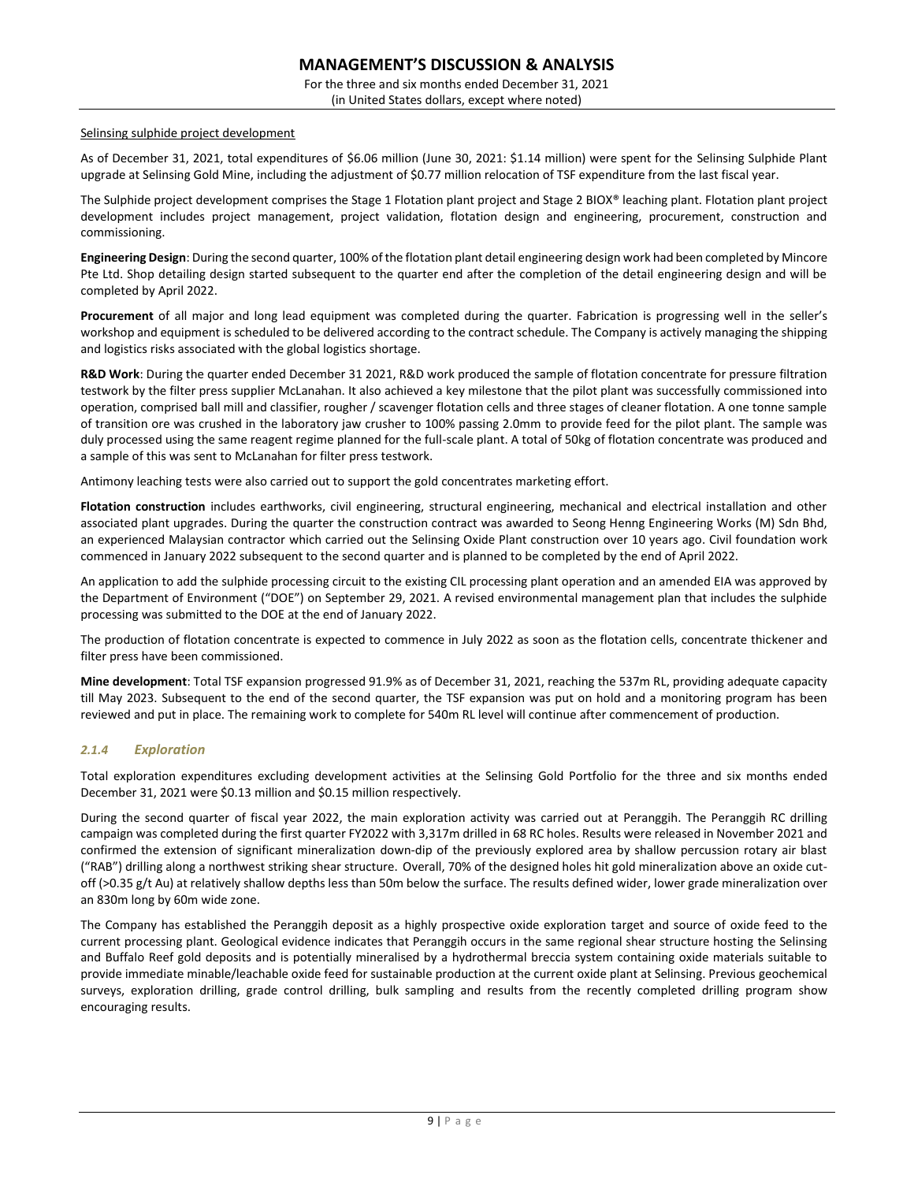For the three and six months ended December 31, 2021 (in United States dollars, except where noted)

### Selinsing sulphide project development

As of December 31, 2021, total expenditures of \$6.06 million (June 30, 2021: \$1.14 million) were spent for the Selinsing Sulphide Plant upgrade at Selinsing Gold Mine, including the adjustment of \$0.77 million relocation of TSF expenditure from the last fiscal year.

The Sulphide project development comprises the Stage 1 Flotation plant project and Stage 2 BIOX® leaching plant. Flotation plant project development includes project management, project validation, flotation design and engineering, procurement, construction and commissioning.

**Engineering Design**: During the second quarter, 100% of the flotation plant detail engineering design work had been completed by Mincore Pte Ltd. Shop detailing design started subsequent to the quarter end after the completion of the detail engineering design and will be completed by April 2022.

**Procurement** of all major and long lead equipment was completed during the quarter. Fabrication is progressing well in the seller's workshop and equipment is scheduled to be delivered according to the contract schedule. The Company is actively managing the shipping and logistics risks associated with the global logistics shortage.

**R&D Work**: During the quarter ended December 31 2021, R&D work produced the sample of flotation concentrate for pressure filtration testwork by the filter press supplier McLanahan. It also achieved a key milestone that the pilot plant was successfully commissioned into operation, comprised ball mill and classifier, rougher / scavenger flotation cells and three stages of cleaner flotation. A one tonne sample of transition ore was crushed in the laboratory jaw crusher to 100% passing 2.0mm to provide feed for the pilot plant. The sample was duly processed using the same reagent regime planned for the full-scale plant. A total of 50kg of flotation concentrate was produced and a sample of this was sent to McLanahan for filter press testwork.

Antimony leaching tests were also carried out to support the gold concentrates marketing effort.

Flotation construction includes earthworks, civil engineering, structural engineering, mechanical and electrical installation and other associated plant upgrades. During the quarter the construction contract was awarded to Seong Henng Engineering Works (M) Sdn Bhd, an experienced Malaysian contractor which carried out the Selinsing Oxide Plant construction over 10 years ago. Civil foundation work commenced in January 2022 subsequent to the second quarter and is planned to be completed by the end of April 2022.

An application to add the sulphide processing circuit to the existing CIL processing plant operation and an amended EIA was approved by the Department of Environment ("DOE") on September 29, 2021. A revised environmental management plan that includes the sulphide processing was submitted to the DOE at the end of January 2022.

The production of flotation concentrate is expected to commence in July 2022 as soon as the flotation cells, concentrate thickener and filter press have been commissioned.

**Mine development**: Total TSF expansion progressed 91.9% as of December 31, 2021, reaching the 537m RL, providing adequate capacity till May 2023. Subsequent to the end of the second quarter, the TSF expansion was put on hold and a monitoring program has been reviewed and put in place. The remaining work to complete for 540m RL level will continue after commencement of production.

# *2.1.4 Exploration*

Total exploration expenditures excluding development activities at the Selinsing Gold Portfolio for the three and six months ended December 31, 2021 were \$0.13 million and \$0.15 million respectively.

During the second quarter of fiscal year 2022, the main exploration activity was carried out at Peranggih. The Peranggih RC drilling campaign was completed during the first quarter FY2022 with 3,317m drilled in 68 RC holes. Results were released in November 2021 and confirmed the extension of significant mineralization down-dip of the previously explored area by shallow percussion rotary air blast ("RAB") drilling along a northwest striking shear structure. Overall, 70% of the designed holes hit gold mineralization above an oxide cutoff (>0.35 g/t Au) at relatively shallow depths less than 50m below the surface. The results defined wider, lower grade mineralization over an 830m long by 60m wide zone.

The Company has established the Peranggih deposit as a highly prospective oxide exploration target and source of oxide feed to the current processing plant. Geological evidence indicates that Peranggih occurs in the same regional shear structure hosting the Selinsing and Buffalo Reef gold deposits and is potentially mineralised by a hydrothermal breccia system containing oxide materials suitable to provide immediate minable/leachable oxide feed for sustainable production at the current oxide plant at Selinsing. Previous geochemical surveys, exploration drilling, grade control drilling, bulk sampling and results from the recently completed drilling program show encouraging results.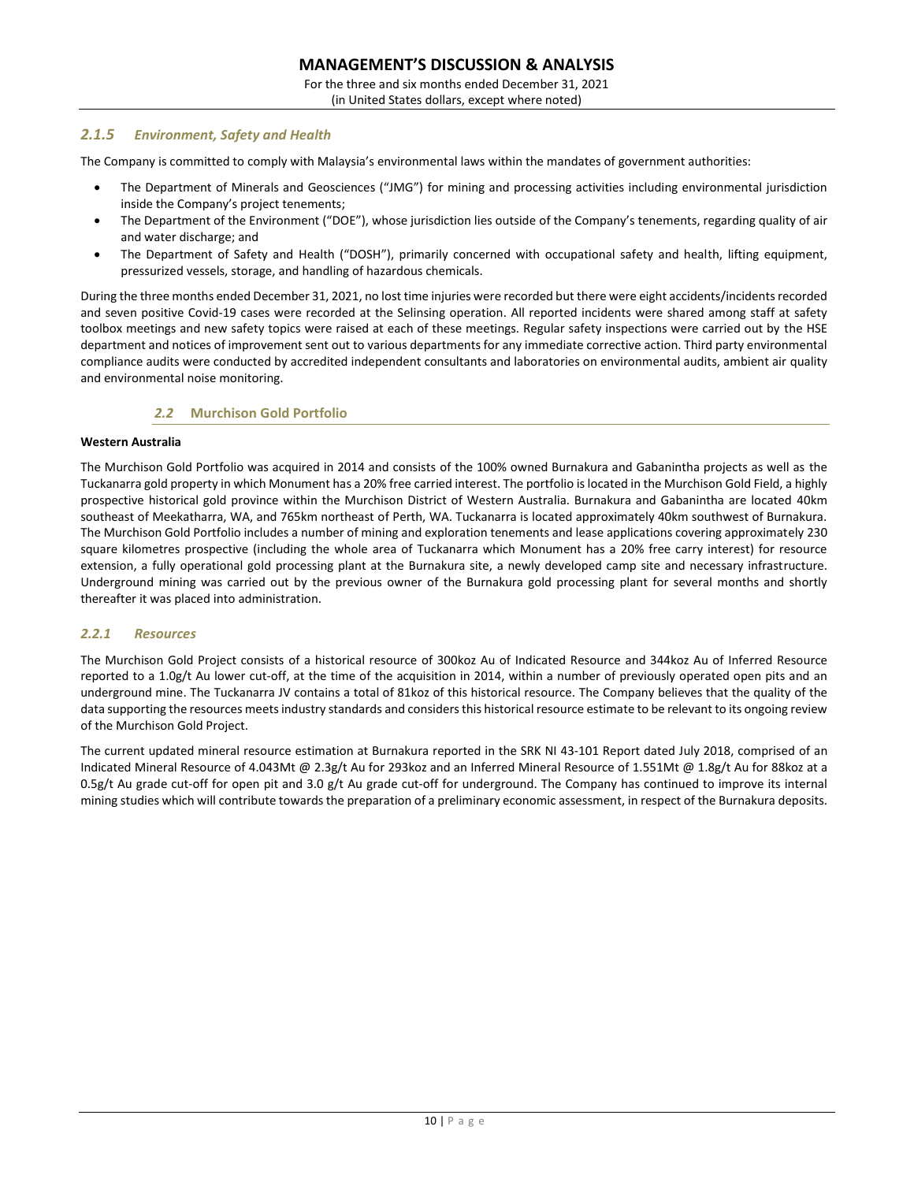For the three and six months ended December 31, 2021

# (in United States dollars, except where noted)

# *2.1.5 Environment, Safety and Health*

The Company is committed to comply with Malaysia's environmental laws within the mandates of government authorities:

- The Department of Minerals and Geosciences ("JMG") for mining and processing activities including environmental jurisdiction inside the Company's project tenements;
- The Department of the Environment ("DOE"), whose jurisdiction lies outside of the Company's tenements, regarding quality of air and water discharge; and
- The Department of Safety and Health ("DOSH"), primarily concerned with occupational safety and health, lifting equipment, pressurized vessels, storage, and handling of hazardous chemicals.

During the three months ended December 31, 2021, no lost time injuries were recorded but there were eight accidents/incidents recorded and seven positive Covid-19 cases were recorded at the Selinsing operation. All reported incidents were shared among staff at safety toolbox meetings and new safety topics were raised at each of these meetings. Regular safety inspections were carried out by the HSE department and notices of improvement sent out to various departments for any immediate corrective action. Third party environmental compliance audits were conducted by accredited independent consultants and laboratories on environmental audits, ambient air quality and environmental noise monitoring.

# *2.2* **Murchison Gold Portfolio**

### **Western Australia**

The Murchison Gold Portfolio was acquired in 2014 and consists of the 100% owned Burnakura and Gabanintha projects as well as the Tuckanarra gold property in which Monument has a 20% free carried interest. The portfolio is located in the Murchison Gold Field, a highly prospective historical gold province within the Murchison District of Western Australia. Burnakura and Gabanintha are located 40km southeast of Meekatharra, WA, and 765km northeast of Perth, WA. Tuckanarra is located approximately 40km southwest of Burnakura. The Murchison Gold Portfolio includes a number of mining and exploration tenements and lease applications covering approximately 230 square kilometres prospective (including the whole area of Tuckanarra which Monument has a 20% free carry interest) for resource extension, a fully operational gold processing plant at the Burnakura site, a newly developed camp site and necessary infrastructure. Underground mining was carried out by the previous owner of the Burnakura gold processing plant for several months and shortly thereafter it was placed into administration.

# *2.2.1 Resources*

The Murchison Gold Project consists of a historical resource of 300koz Au of Indicated Resource and 344koz Au of Inferred Resource reported to a 1.0g/t Au lower cut-off, at the time of the acquisition in 2014, within a number of previously operated open pits and an underground mine. The Tuckanarra JV contains a total of 81koz of this historical resource. The Company believes that the quality of the data supporting the resources meets industry standards and considers this historical resource estimate to be relevant to its ongoing review of the Murchison Gold Project.

The current updated mineral resource estimation at Burnakura reported in the SRK NI 43-101 Report dated July 2018, comprised of an Indicated Mineral Resource of 4.043Mt @ 2.3g/t Au for 293koz and an Inferred Mineral Resource of 1.551Mt @ 1.8g/t Au for 88koz at a 0.5g/t Au grade cut-off for open pit and 3.0 g/t Au grade cut-off for underground. The Company has continued to improve its internal mining studies which will contribute towards the preparation of a preliminary economic assessment, in respect of the Burnakura deposits.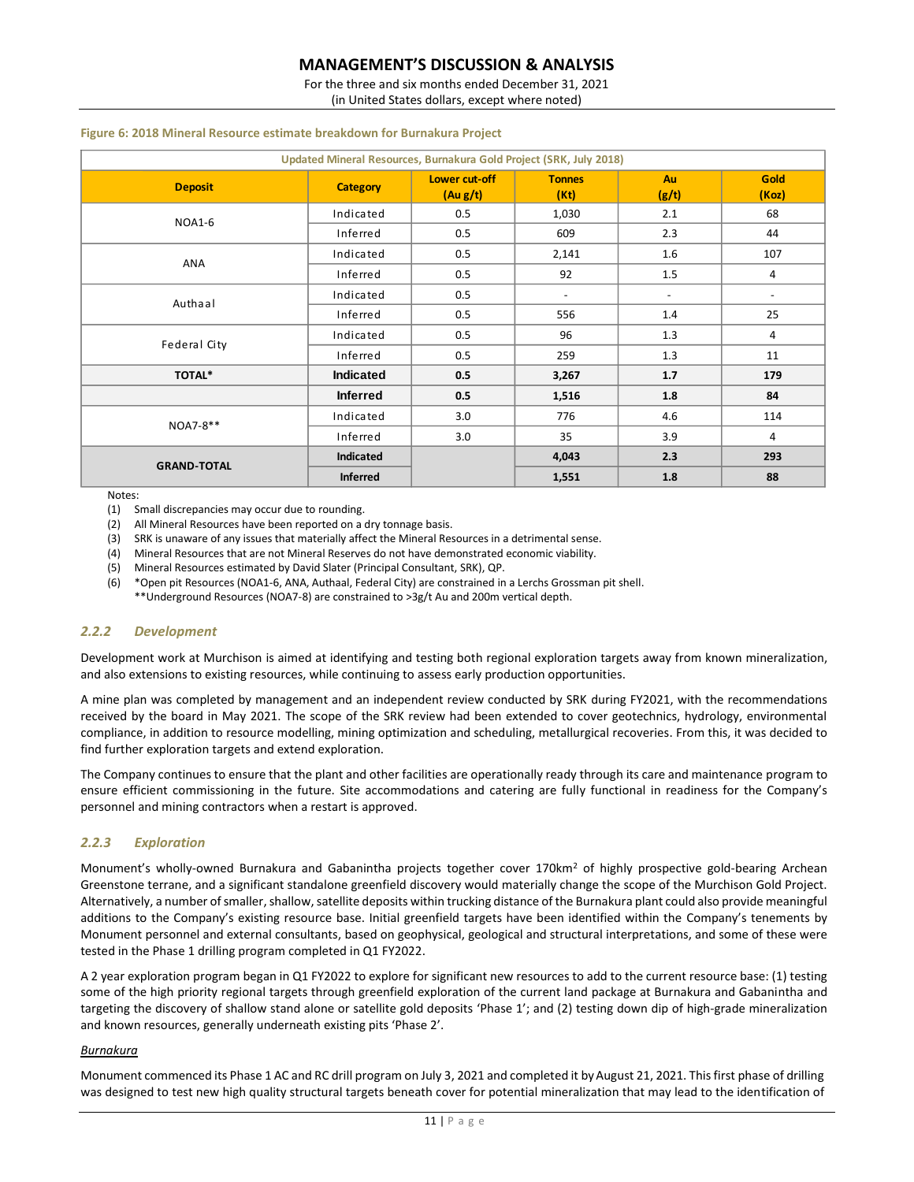For the three and six months ended December 31, 2021

(in United States dollars, except where noted)

# **Example, the structure of the interality structural targets beneath cover for potential minimization targets be new high quality structural targets be new high potential minimization to the interaction of the interaction Lower cut-off (Au g/t) Tonnes (Kt) Au (g/t) Gold (Koz)**  $Indicated$  0.5 1,030 2.1 68 Inferred 0.5 609 2.3 44  $Indicated$  0.5 2,141 1.6 107 Inferred 0.5 92 1.5 4  $\blacksquare$  Indicated  $\blacksquare$   $\blacksquare$   $\blacksquare$   $\blacksquare$   $\blacksquare$   $\blacksquare$   $\blacksquare$   $\blacksquare$   $\blacksquare$   $\blacksquare$   $\blacksquare$   $\blacksquare$   $\blacksquare$   $\blacksquare$   $\blacksquare$   $\blacksquare$   $\blacksquare$   $\blacksquare$   $\blacksquare$   $\blacksquare$   $\blacksquare$   $\blacksquare$   $\blacksquare$   $\blacksquare$   $\blacksquare$   $\blacksquare$   $\blacksquare$   $\blacksquare$   $\blacksquare$  Inferred 0.5 556 1.4 25  $Indicated$   $0.5$   $96$   $1.3$   $4$ Inferred 0.5 259 1.3 11 **TOTAL\* Indicated 0.5 3,267 1.7 179 Inferred 0.5 1,516 1.8 84** Indicated 3.0 776 4.6 114 Inferred 3.0 35 3.9 4 **Indicated 4,043 2.3 293 Inferred 1,551 1.8 88 GRAND-TOTAL** NOA7-8\*\* ANA **Updated Mineral Resources, Burnakura Gold Project (SRK, July 2018)** NOA1-6 Authaal Federal City

### **Figure 6: 2018 Mineral Resource estimate breakdown for Burnakura Project**

Notes:

(1) Small discrepancies may occur due to rounding.

(2) All Mineral Resources have been reported on a dry tonnage basis.

(3) SRK is unaware of any issues that materially affect the Mineral Resources in a detrimental sense.

(4) Mineral Resources that are not Mineral Reserves do not have demonstrated economic viability.

(5) Mineral Resources estimated by David Slater (Principal Consultant, SRK), QP.

(6) \*Open pit Resources (NOA1-6, ANA, Authaal, Federal City) are constrained in a Lerchs Grossman pit shell. \*\*Underground Resources (NOA7-8) are constrained to >3g/t Au and 200m vertical depth.

# *2.2.2 Development*

Development work at Murchison is aimed at identifying and testing both regional exploration targets away from known mineralization, and also extensions to existing resources, while continuing to assess early production opportunities.

A mine plan was completed by management and an independent review conducted by SRK during FY2021, with the recommendations received by the board in May 2021. The scope of the SRK review had been extended to cover geotechnics, hydrology, environmental compliance, in addition to resource modelling, mining optimization and scheduling, metallurgical recoveries. From this, it was decided to find further exploration targets and extend exploration.

The Company continues to ensure that the plant and other facilities are operationally ready through its care and maintenance program to ensure efficient commissioning in the future. Site accommodations and catering are fully functional in readiness for the Company's personnel and mining contractors when a restart is approved.

# *2.2.3 Exploration*

Monument's wholly-owned Burnakura and Gabanintha projects together cover 170km<sup>2</sup> of highly prospective gold-bearing Archean Greenstone terrane, and a significant standalone greenfield discovery would materially change the scope of the Murchison Gold Project. Alternatively, a number of smaller, shallow, satellite deposits within trucking distance of the Burnakura plant could also provide meaningful additions to the Company's existing resource base. Initial greenfield targets have been identified within the Company's tenements by Monument personnel and external consultants, based on geophysical, geological and structural interpretations, and some of these were tested in the Phase 1 drilling program completed in Q1 FY2022.

A 2 year exploration program began in Q1 FY2022 to explore for significant new resources to add to the current resource base: (1) testing some of the high priority regional targets through greenfield exploration of the current land package at Burnakura and Gabanintha and targeting the discovery of shallow stand alone or satellite gold deposits 'Phase 1'; and (2) testing down dip of high-grade mineralization and known resources, generally underneath existing pits 'Phase 2'.

# *Burnakura*

Monument commenced its Phase 1 AC and RC drill program on July 3, 2021 and completed it by August 21, 2021. This first phase of drilling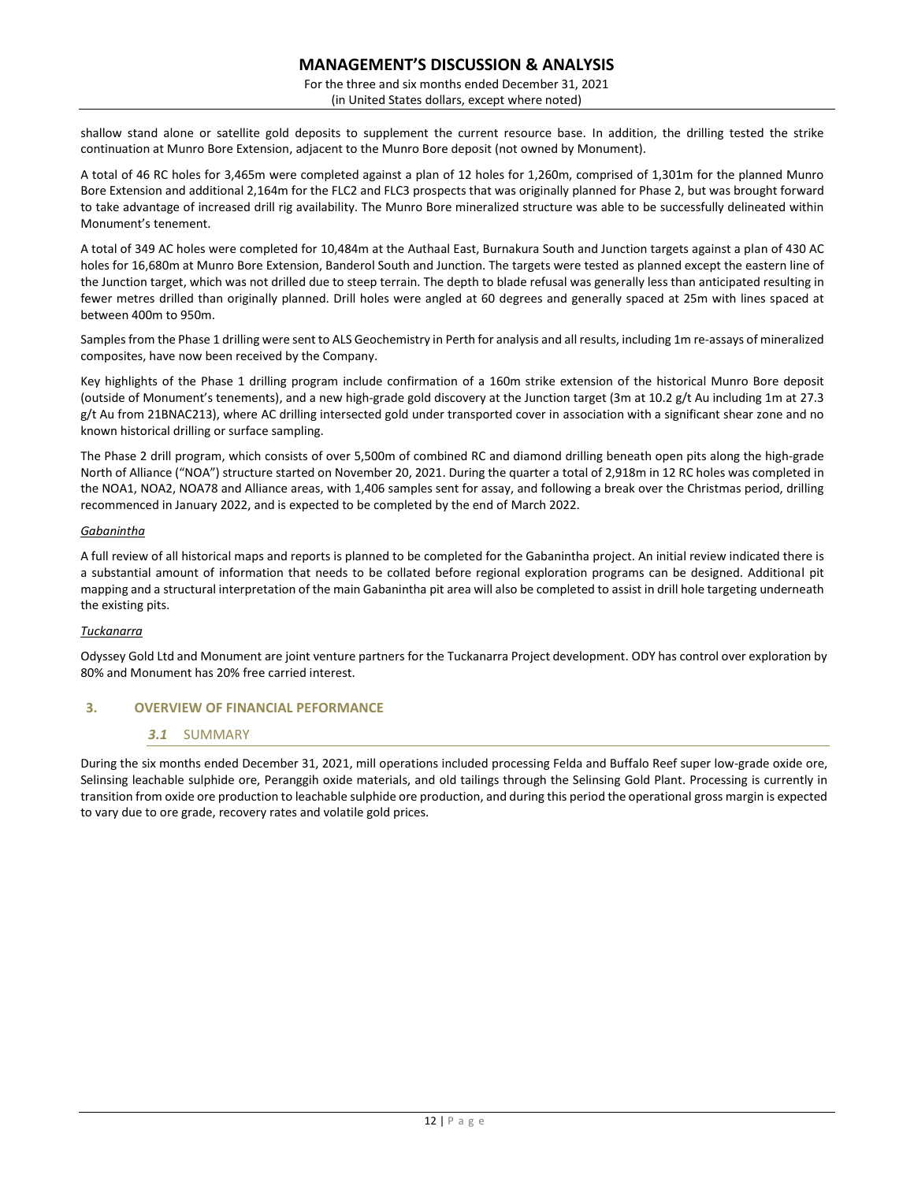For the three and six months ended December 31, 2021 (in United States dollars, except where noted)

shallow stand alone or satellite gold deposits to supplement the current resource base. In addition, the drilling tested the strike continuation at Munro Bore Extension, adjacent to the Munro Bore deposit (not owned by Monument).

A total of 46 RC holes for 3,465m were completed against a plan of 12 holes for 1,260m, comprised of 1,301m for the planned Munro Bore Extension and additional 2,164m for the FLC2 and FLC3 prospects that was originally planned for Phase 2, but was brought forward to take advantage of increased drill rig availability. The Munro Bore mineralized structure was able to be successfully delineated within Monument's tenement.

A total of 349 AC holes were completed for 10,484m at the Authaal East, Burnakura South and Junction targets against a plan of 430 AC holes for 16,680m at Munro Bore Extension, Banderol South and Junction. The targets were tested as planned except the eastern line of the Junction target, which was not drilled due to steep terrain. The depth to blade refusal was generally less than anticipated resulting in fewer metres drilled than originally planned. Drill holes were angled at 60 degrees and generally spaced at 25m with lines spaced at between 400m to 950m.

Samples from the Phase 1 drilling were sent to ALS Geochemistry in Perth for analysis and all results, including 1m re-assays of mineralized composites, have now been received by the Company.

Key highlights of the Phase 1 drilling program include confirmation of a 160m strike extension of the historical Munro Bore deposit (outside of Monument's tenements), and a new high-grade gold discovery at the Junction target (3m at 10.2 g/t Au including 1m at 27.3 g/t Au from 21BNAC213), where AC drilling intersected gold under transported cover in association with a significant shear zone and no known historical drilling or surface sampling.

The Phase 2 drill program, which consists of over 5,500m of combined RC and diamond drilling beneath open pits along the high-grade North of Alliance ("NOA") structure started on November 20, 2021. During the quarter a total of 2,918m in 12 RC holes was completed in the NOA1, NOA2, NOA78 and Alliance areas, with 1,406 samples sent for assay, and following a break over the Christmas period, drilling recommenced in January 2022, and is expected to be completed by the end of March 2022.

# *Gabanintha*

A full review of all historical maps and reports is planned to be completed for the Gabanintha project. An initial review indicated there is a substantial amount of information that needs to be collated before regional exploration programs can be designed. Additional pit mapping and a structural interpretation of the main Gabanintha pit area will also be completed to assist in drill hole targeting underneath the existing pits.

# *Tuckanarra*

Odyssey Gold Ltd and Monument are joint venture partners for the Tuckanarra Project development. ODY has control over exploration by 80% and Monument has 20% free carried interest.

# **3. OVERVIEW OF FINANCIAL PEFORMANCE**

# *3.1* SUMMARY

During the six months ended December 31, 2021, mill operations included processing Felda and Buffalo Reef super low-grade oxide ore, Selinsing leachable sulphide ore, Peranggih oxide materials, and old tailings through the Selinsing Gold Plant. Processing is currently in transition from oxide ore production to leachable sulphide ore production, and during this period the operational gross margin is expected to vary due to ore grade, recovery rates and volatile gold prices.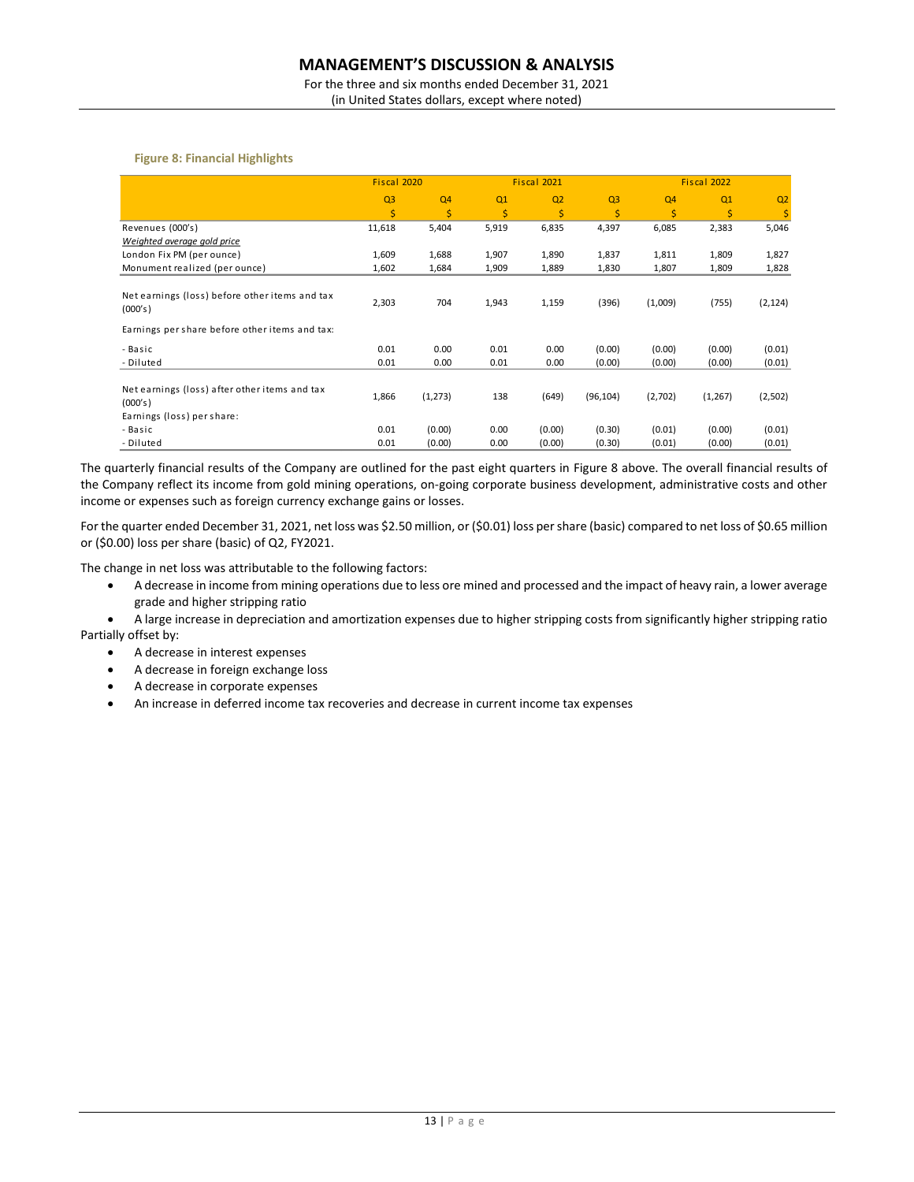For the three and six months ended December 31, 2021 (in United States dollars, except where noted)

### **Figure 8: Financial Highlights**

|                                                           |                | Fiscal 2020    |       | Fiscal 2021    |                |                | Fiscal 2022 |                |  |
|-----------------------------------------------------------|----------------|----------------|-------|----------------|----------------|----------------|-------------|----------------|--|
|                                                           | Q <sub>3</sub> | Q <sub>4</sub> | Q1    | Q <sub>2</sub> | Q <sub>3</sub> | Q <sub>4</sub> | Q1          | Q <sub>2</sub> |  |
|                                                           | \$             | \$             | \$    | \$             | \$             | \$             | \$          | \$             |  |
| Revenues (000's)                                          | 11,618         | 5,404          | 5,919 | 6,835          | 4,397          | 6,085          | 2,383       | 5,046          |  |
| Weighted average gold price                               |                |                |       |                |                |                |             |                |  |
| London Fix PM (per ounce)                                 | 1,609          | 1,688          | 1,907 | 1,890          | 1,837          | 1,811          | 1,809       | 1,827          |  |
| Monument realized (per ounce)                             | 1,602          | 1,684          | 1,909 | 1,889          | 1,830          | 1,807          | 1,809       | 1,828          |  |
|                                                           |                |                |       |                |                |                |             |                |  |
| Net earnings (loss) before other items and tax<br>(000's) | 2,303          | 704            | 1,943 | 1,159          | (396)          | (1,009)        | (755)       | (2, 124)       |  |
| Earnings per share before other items and tax:            |                |                |       |                |                |                |             |                |  |
| - Basic                                                   | 0.01           | 0.00           | 0.01  | 0.00           | (0.00)         | (0.00)         | (0.00)      | (0.01)         |  |
| - Diluted                                                 | 0.01           | 0.00           | 0.01  | 0.00           | (0.00)         | (0.00)         | (0.00)      | (0.01)         |  |
|                                                           |                |                |       |                |                |                |             |                |  |
| Net earnings (loss) after other items and tax<br>(000's)  | 1,866          | (1, 273)       | 138   | (649)          | (96, 104)      | (2,702)        | (1, 267)    | (2,502)        |  |
| Earnings (loss) per share:                                |                |                |       |                |                |                |             |                |  |
| - Basic                                                   | 0.01           | (0.00)         | 0.00  | (0.00)         | (0.30)         | (0.01)         | (0.00)      | (0.01)         |  |
| - Diluted                                                 | 0.01           | (0.00)         | 0.00  | (0.00)         | (0.30)         | (0.01)         | (0.00)      | (0.01)         |  |

The quarterly financial results of the Company are outlined for the past eight quarters in Figure 8 above. The overall financial results of the Company reflect its income from gold mining operations, on-going corporate business development, administrative costs and other income or expenses such as foreign currency exchange gains or losses.

For the quarter ended December 31, 2021, net loss was \$2.50 million, or (\$0.01) loss per share (basic) compared to net loss of \$0.65 million or (\$0.00) loss per share (basic) of Q2, FY2021.

The change in net loss was attributable to the following factors:

- A decrease in income from mining operations due to less ore mined and processed and the impact of heavy rain, a lower average grade and higher stripping ratio
- A large increase in depreciation and amortization expenses due to higher stripping costs from significantly higher stripping ratio Partially offset by:
	- A decrease in interest expenses
	- A decrease in foreign exchange loss
	- A decrease in corporate expenses
	- An increase in deferred income tax recoveries and decrease in current income tax expenses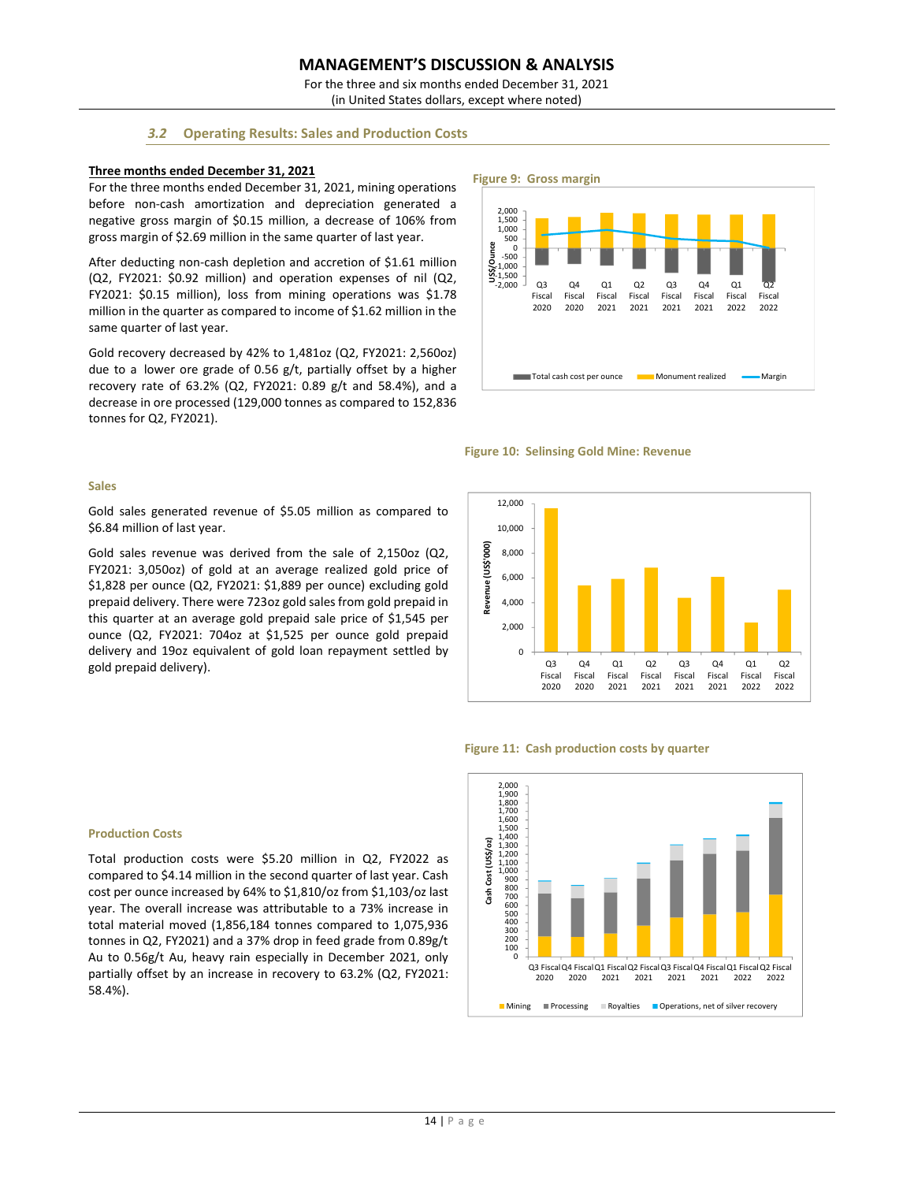For the three and six months ended December 31, 2021 (in United States dollars, except where noted)

# *3.2* **Operating Results: Sales and Production Costs**

### **Three months ended December 31, 2021**

For the three months ended December 31, 2021, mining operations before non-cash amortization and depreciation generated a negative gross margin of \$0.15 million, a decrease of 106% from gross margin of \$2.69 million in the same quarter of last year.

After deducting non-cash depletion and accretion of \$1.61 million (Q2, FY2021: \$0.92 million) and operation expenses of nil (Q2, FY2021: \$0.15 million), loss from mining operations was \$1.78 million in the quarter as compared to income of \$1.62 million in the same quarter of last year.

Gold recovery decreased by 42% to 1,481oz (Q2, FY2021: 2,560oz) due to a lower ore grade of 0.56 g/t, partially offset by a higher recovery rate of 63.2% (Q2, FY2021: 0.89 g/t and 58.4%), and a decrease in ore processed (129,000 tonnes as compared to 152,836 tonnes for Q2, FY2021).





# **Sales**

Gold sales generated revenue of \$5.05 million as compared to \$6.84 million of last year.

Gold sales revenue was derived from the sale of 2,150oz (Q2, FY2021: 3,050oz) of gold at an average realized gold price of \$1,828 per ounce (Q2, FY2021: \$1,889 per ounce) excluding gold prepaid delivery. There were 723oz gold sales from gold prepaid in this quarter at an average gold prepaid sale price of \$1,545 per ounce (Q2, FY2021: 704oz at \$1,525 per ounce gold prepaid delivery and 19oz equivalent of gold loan repayment settled by gold prepaid delivery).



### **Figure 11: Cash production costs by quarter**



#### **Production Costs**

Total production costs were \$5.20 million in Q2, FY2022 as compared to \$4.14 million in the second quarter of last year. Cash cost per ounce increased by 64% to \$1,810/oz from \$1,103/oz last year. The overall increase was attributable to a 73% increase in total material moved (1,856,184 tonnes compared to 1,075,936 tonnes in Q2, FY2021) and a 37% drop in feed grade from 0.89g/t Au to 0.56g/t Au, heavy rain especially in December 2021, only partially offset by an increase in recovery to 63.2% (Q2, FY2021: 58.4%).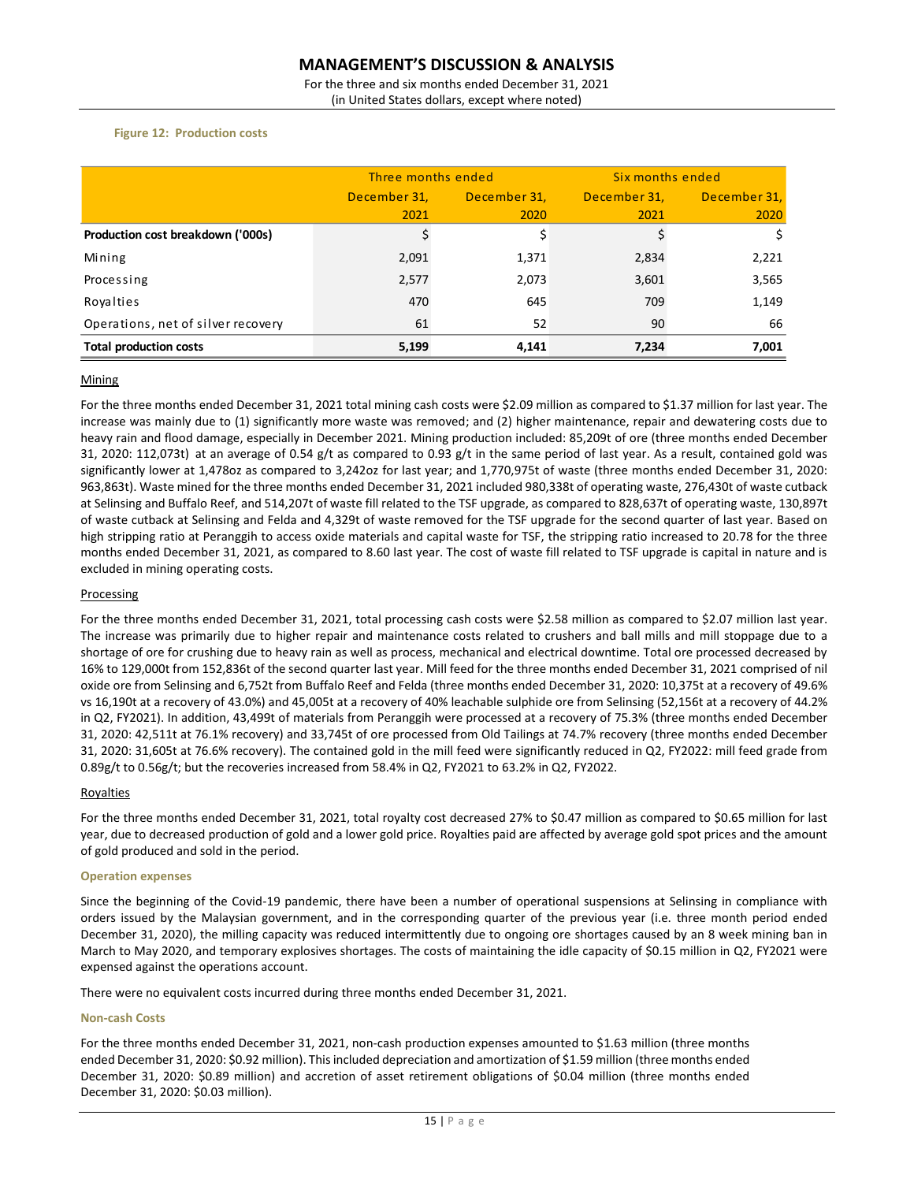For the three and six months ended December 31, 2021 (in United States dollars, except where noted)

# **Figure 12: Production costs**

|                                    | Three months ended |              |              | Six months ended |  |  |
|------------------------------------|--------------------|--------------|--------------|------------------|--|--|
|                                    | December 31,       | December 31, | December 31, | December 31,     |  |  |
|                                    | 2021               | 2020         | 2021         | 2020             |  |  |
| Production cost breakdown ('000s)  | \$                 |              |              | \$               |  |  |
| Mining                             | 2,091              | 1,371        | 2,834        | 2,221            |  |  |
| Processing                         | 2,577              | 2,073        | 3,601        | 3,565            |  |  |
| Royalties                          | 470                | 645          | 709          | 1,149            |  |  |
| Operations, net of silver recovery | 61                 | 52           | 90           | 66               |  |  |
| <b>Total production costs</b>      | 5,199              | 4,141        | 7,234        | 7,001            |  |  |

### **Mining**

For the three months ended December 31, 2021 total mining cash costs were \$2.09 million as compared to \$1.37 million for last year. The increase was mainly due to (1) significantly more waste was removed; and (2) higher maintenance, repair and dewatering costs due to heavy rain and flood damage, especially in December 2021. Mining production included: 85,209t of ore (three months ended December 31, 2020: 112,073t) at an average of 0.54 g/t as compared to 0.93 g/t in the same period of last year. As a result, contained gold was significantly lower at 1,478oz as compared to 3,242oz for last year; and 1,770,975t of waste (three months ended December 31, 2020: 963,863t). Waste mined for the three months ended December 31, 2021 included 980,338t of operating waste, 276,430t of waste cutback at Selinsing and Buffalo Reef, and 514,207t of waste fill related to the TSF upgrade, as compared to 828,637t of operating waste, 130,897t of waste cutback at Selinsing and Felda and 4,329t of waste removed for the TSF upgrade for the second quarter of last year. Based on high stripping ratio at Peranggih to access oxide materials and capital waste for TSF, the stripping ratio increased to 20.78 for the three months ended December 31, 2021, as compared to 8.60 last year. The cost of waste fill related to TSF upgrade is capital in nature and is excluded in mining operating costs. December 31,<br>
Production cost breakdown ('000s)<br>
Solution<br>
Mining<br>
Processing<br>
Processing<br>
Deprations, net of silver recovery<br>
51<br>
Deprations, net of silver recovery<br>
51<br>
Deprations, net of silver recovery<br>
51<br>
Total produ

### Processing

For the three months ended December 31, 2021, total processing cash costs were \$2.58 million as compared to \$2.07 million last year. The increase was primarily due to higher repair and maintenance costs related to crushers and ball mills and mill stoppage due to a shortage of ore for crushing due to heavy rain as well as process, mechanical and electrical downtime. Total ore processed decreased by 16% to 129,000t from 152,836t of the second quarter last year. Mill feed for the three months ended December 31, 2021 comprised of nil oxide ore from Selinsing and 6,752t from Buffalo Reef and Felda (three months ended December 31, 2020: 10,375t at a recovery of 49.6% vs 16,190t at a recovery of 43.0%) and 45,005t at a recovery of 40% leachable sulphide ore from Selinsing (52,156t at a recovery of 44.2% in Q2, FY2021). In addition, 43,499t of materials from Peranggih were processed at a recovery of 75.3% (three months ended December 31, 2020: 42,511t at 76.1% recovery) and 33,745t of ore processed from Old Tailings at 74.7% recovery (three months ended December 31, 2020: 31,605t at 76.6% recovery). The contained gold in the mill feed were significantly reduced in Q2, FY2022: mill feed grade from 0.89g/t to 0.56g/t; but the recoveries increased from 58.4% in Q2, FY2021 to 63.2% in Q2, FY2022.

### Royalties

For the three months ended December 31, 2021, total royalty cost decreased 27% to \$0.47 million as compared to \$0.65 million for last year, due to decreased production of gold and a lower gold price. Royalties paid are affected by average gold spot prices and the amount of gold produced and sold in the period.

### **Operation expenses**

Since the beginning of the Covid-19 pandemic, there have been a number of operational suspensions at Selinsing in compliance with orders issued by the Malaysian government, and in the corresponding quarter of the previous year (i.e. three month period ended December 31, 2020), the milling capacity was reduced intermittently due to ongoing ore shortages caused by an 8 week mining ban in March to May 2020, and temporary explosives shortages. The costs of maintaining the idle capacity of \$0.15 million in Q2, FY2021 were expensed against the operations account.

There were no equivalent costs incurred during three months ended December 31, 2021.

### **Non-cash Costs**

For the three months ended December 31, 2021, non-cash production expenses amounted to \$1.63 million (three months ended December 31, 2020: \$0.92 million). This included depreciation and amortization of \$1.59 million (three months ended December 31, 2020: \$0.89 million) and accretion of asset retirement obligations of \$0.04 million (three months ended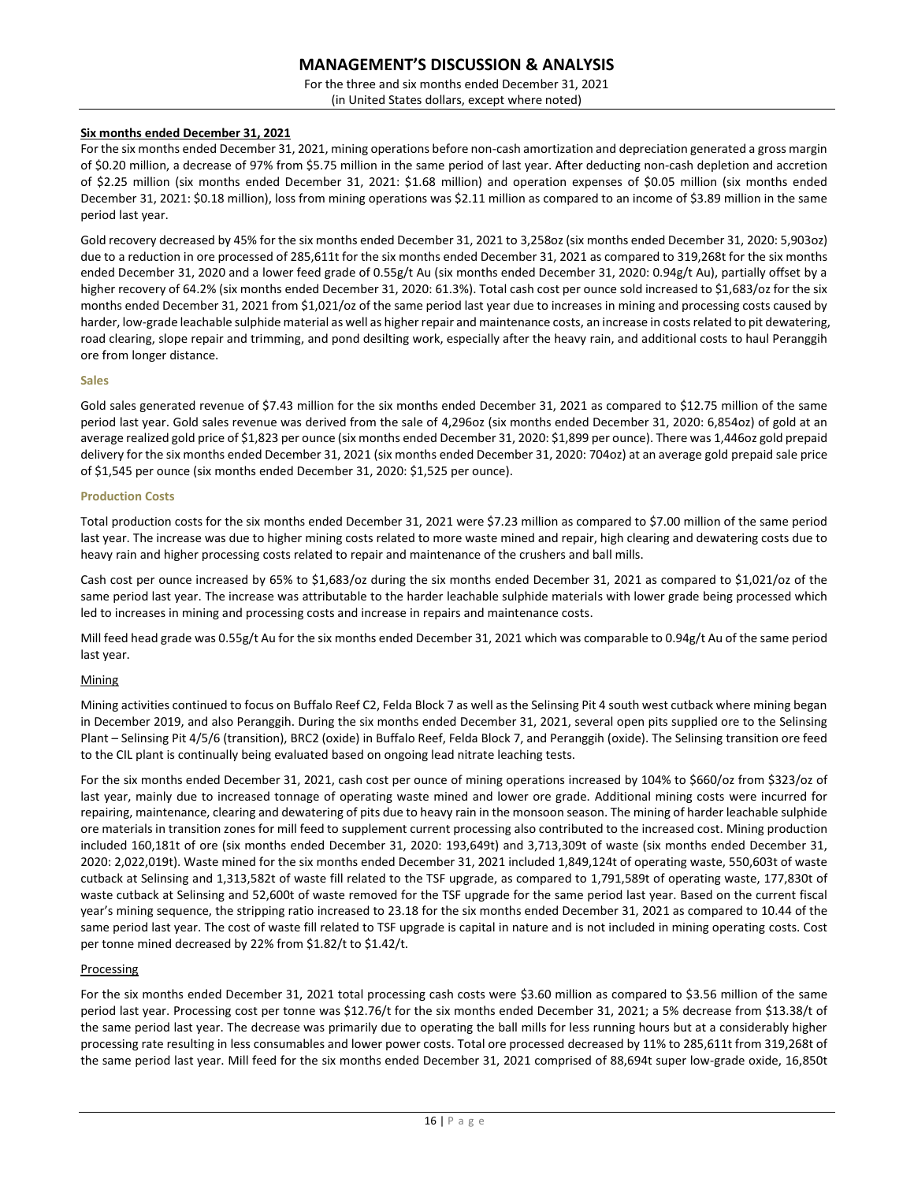For the three and six months ended December 31, 2021 (in United States dollars, except where noted)

# **Six months ended December 31, 2021**

For the six months ended December 31, 2021, mining operations before non-cash amortization and depreciation generated a gross margin of \$0.20 million, a decrease of 97% from \$5.75 million in the same period of last year. After deducting non-cash depletion and accretion of \$2.25 million (six months ended December 31, 2021: \$1.68 million) and operation expenses of \$0.05 million (six months ended December 31, 2021: \$0.18 million), loss from mining operations was \$2.11 million as compared to an income of \$3.89 million in the same period last year.

Gold recovery decreased by 45% for the six months ended December 31, 2021 to 3,258oz (six months ended December 31, 2020: 5,903oz) due to a reduction in ore processed of 285,611t for the six months ended December 31, 2021 as compared to 319,268t for the six months ended December 31, 2020 and a lower feed grade of 0.55g/t Au (six months ended December 31, 2020: 0.94g/t Au), partially offset by a higher recovery of 64.2% (six months ended December 31, 2020: 61.3%). Total cash cost per ounce sold increased to \$1,683/oz for the six months ended December 31, 2021 from \$1,021/oz of the same period last year due to increases in mining and processing costs caused by harder, low-grade leachable sulphide material as well as higher repair and maintenance costs, an increase in costsrelated to pit dewatering, road clearing, slope repair and trimming, and pond desilting work, especially after the heavy rain, and additional costs to haul Peranggih ore from longer distance.

#### **Sales**

Gold sales generated revenue of \$7.43 million for the six months ended December 31, 2021 as compared to \$12.75 million of the same period last year. Gold sales revenue was derived from the sale of 4,296oz (six months ended December 31, 2020: 6,854oz) of gold at an average realized gold price of \$1,823 per ounce (six months ended December 31, 2020: \$1,899 per ounce). There was 1,446oz gold prepaid delivery for the six months ended December 31, 2021 (six months ended December 31, 2020: 704oz) at an average gold prepaid sale price of \$1,545 per ounce (six months ended December 31, 2020: \$1,525 per ounce).

### **Production Costs**

Total production costs for the six months ended December 31, 2021 were \$7.23 million as compared to \$7.00 million of the same period last year. The increase was due to higher mining costs related to more waste mined and repair, high clearing and dewatering costs due to heavy rain and higher processing costs related to repair and maintenance of the crushers and ball mills.

Cash cost per ounce increased by 65% to \$1,683/oz during the six months ended December 31, 2021 as compared to \$1,021/oz of the same period last year. The increase was attributable to the harder leachable sulphide materials with lower grade being processed which led to increases in mining and processing costs and increase in repairs and maintenance costs.

Mill feed head grade was 0.55g/t Au for the six months ended December 31, 2021 which was comparable to 0.94g/t Au of the same period last year.

### **Mining**

Mining activities continued to focus on Buffalo Reef C2, Felda Block 7 as well as the Selinsing Pit 4 south west cutback where mining began in December 2019, and also Peranggih. During the six months ended December 31, 2021, several open pits supplied ore to the Selinsing Plant – Selinsing Pit 4/5/6 (transition), BRC2 (oxide) in Buffalo Reef, Felda Block 7, and Peranggih (oxide). The Selinsing transition ore feed to the CIL plant is continually being evaluated based on ongoing lead nitrate leaching tests.

For the six months ended December 31, 2021, cash cost per ounce of mining operations increased by 104% to \$660/oz from \$323/oz of last year, mainly due to increased tonnage of operating waste mined and lower ore grade. Additional mining costs were incurred for repairing, maintenance, clearing and dewatering of pits due to heavy rain in the monsoon season. The mining of harder leachable sulphide ore materials in transition zones for mill feed to supplement current processing also contributed to the increased cost. Mining production included 160,181t of ore (six months ended December 31, 2020: 193,649t) and 3,713,309t of waste (six months ended December 31, 2020: 2,022,019t). Waste mined for the six months ended December 31, 2021 included 1,849,124t of operating waste, 550,603t of waste cutback at Selinsing and 1,313,582t of waste fill related to the TSF upgrade, as compared to 1,791,589t of operating waste, 177,830t of waste cutback at Selinsing and 52,600t of waste removed for the TSF upgrade for the same period last year. Based on the current fiscal year's mining sequence, the stripping ratio increased to 23.18 for the six months ended December 31, 2021 as compared to 10.44 of the same period last year. The cost of waste fill related to TSF upgrade is capital in nature and is not included in mining operating costs. Cost per tonne mined decreased by 22% from \$1.82/t to \$1.42/t.

### Processing

For the six months ended December 31, 2021 total processing cash costs were \$3.60 million as compared to \$3.56 million of the same period last year. Processing cost per tonne was \$12.76/t for the six months ended December 31, 2021; a 5% decrease from \$13.38/t of the same period last year. The decrease was primarily due to operating the ball mills for less running hours but at a considerably higher processing rate resulting in less consumables and lower power costs. Total ore processed decreased by 11% to 285,611t from 319,268t of the same period last year. Mill feed for the six months ended December 31, 2021 comprised of 88,694t super low-grade oxide, 16,850t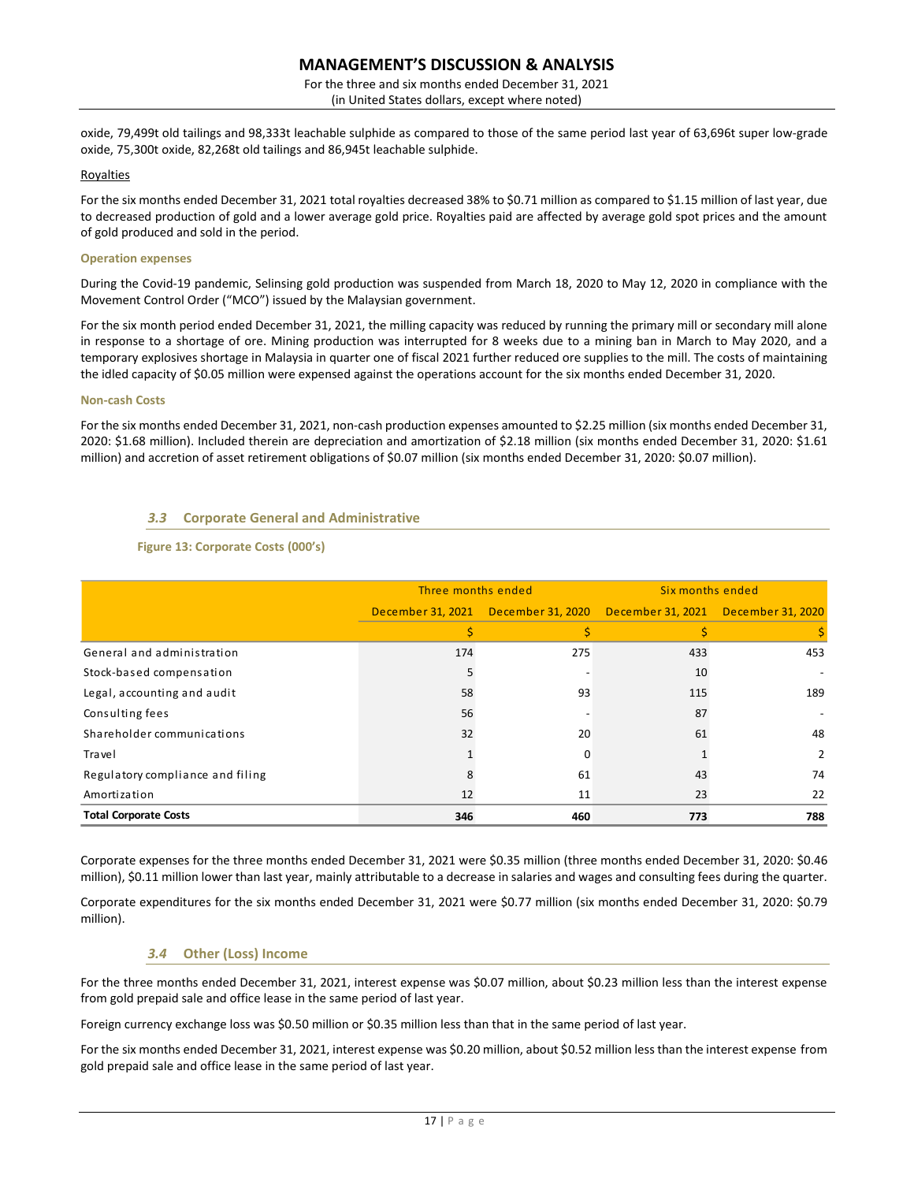For the three and six months ended December 31, 2021 (in United States dollars, except where noted)

oxide, 79,499t old tailings and 98,333t leachable sulphide as compared to those of the same period last year of 63,696t super low-grade oxide, 75,300t oxide, 82,268t old tailings and 86,945t leachable sulphide.

### Royalties

For the six months ended December 31, 2021 total royalties decreased 38% to \$0.71 million as compared to \$1.15 million of last year, due to decreased production of gold and a lower average gold price. Royalties paid are affected by average gold spot prices and the amount of gold produced and sold in the period.

### **Operation expenses**

During the Covid-19 pandemic, Selinsing gold production was suspended from March 18, 2020 to May 12, 2020 in compliance with the Movement Control Order ("MCO") issued by the Malaysian government.

For the six month period ended December 31, 2021, the milling capacity was reduced by running the primary mill or secondary mill alone in response to a shortage of ore. Mining production was interrupted for 8 weeks due to a mining ban in March to May 2020, and a temporary explosives shortage in Malaysia in quarter one of fiscal 2021 further reduced ore supplies to the mill. The costs of maintaining the idled capacity of \$0.05 million were expensed against the operations account for the six months ended December 31, 2020.

### **Non-cash Costs**

For the six months ended December 31, 2021, non-cash production expenses amounted to \$2.25 million (six months ended December 31, 2020: \$1.68 million). Included therein are depreciation and amortization of \$2.18 million (six months ended December 31, 2020: \$1.61 million) and accretion of asset retirement obligations of \$0.07 million (six months ended December 31, 2020: \$0.07 million).

# *3.3* **Corporate General and Administrative**

# **Figure 13: Corporate Costs (000's)**

|                                  | Three months ended |     | Six months ended                                                        |     |  |
|----------------------------------|--------------------|-----|-------------------------------------------------------------------------|-----|--|
|                                  |                    |     | December 31, 2021 December 31, 2020 December 31, 2021 December 31, 2020 |     |  |
|                                  |                    |     |                                                                         |     |  |
| General and administration       | 174                | 275 | 433                                                                     | 453 |  |
| Stock-based compensation         |                    |     | 10                                                                      |     |  |
| Legal, accounting and audit      | 58                 | 93  | 115                                                                     | 189 |  |
| Consulting fees                  | 56                 |     | 87                                                                      |     |  |
| Shareholder communications       | 32                 | 20  | 61                                                                      | 48  |  |
| Travel                           |                    | 0   |                                                                         | 2   |  |
| Regulatory compliance and filing |                    | 61  | 43                                                                      | 74  |  |
| Amortization                     | 12                 | 11  | 23                                                                      | 22  |  |
| <b>Total Corporate Costs</b>     | 346                | 460 | 773                                                                     | 788 |  |

Corporate expenses for the three months ended December 31, 2021 were \$0.35 million (three months ended December 31, 2020: \$0.46 million), \$0.11 million lower than last year, mainly attributable to a decrease in salaries and wages and consulting fees during the quarter.

Corporate expenditures for the six months ended December 31, 2021 were \$0.77 million (six months ended December 31, 2020: \$0.79 million).

# *3.4* **Other (Loss) Income**

For the three months ended December 31, 2021, interest expense was \$0.07 million, about \$0.23 million less than the interest expense from gold prepaid sale and office lease in the same period of last year.

Foreign currency exchange loss was \$0.50 million or \$0.35 million less than that in the same period of last year.

For the six months ended December 31, 2021, interest expense was \$0.20 million, about \$0.52 million less than the interest expense from gold prepaid sale and office lease in the same period of last year.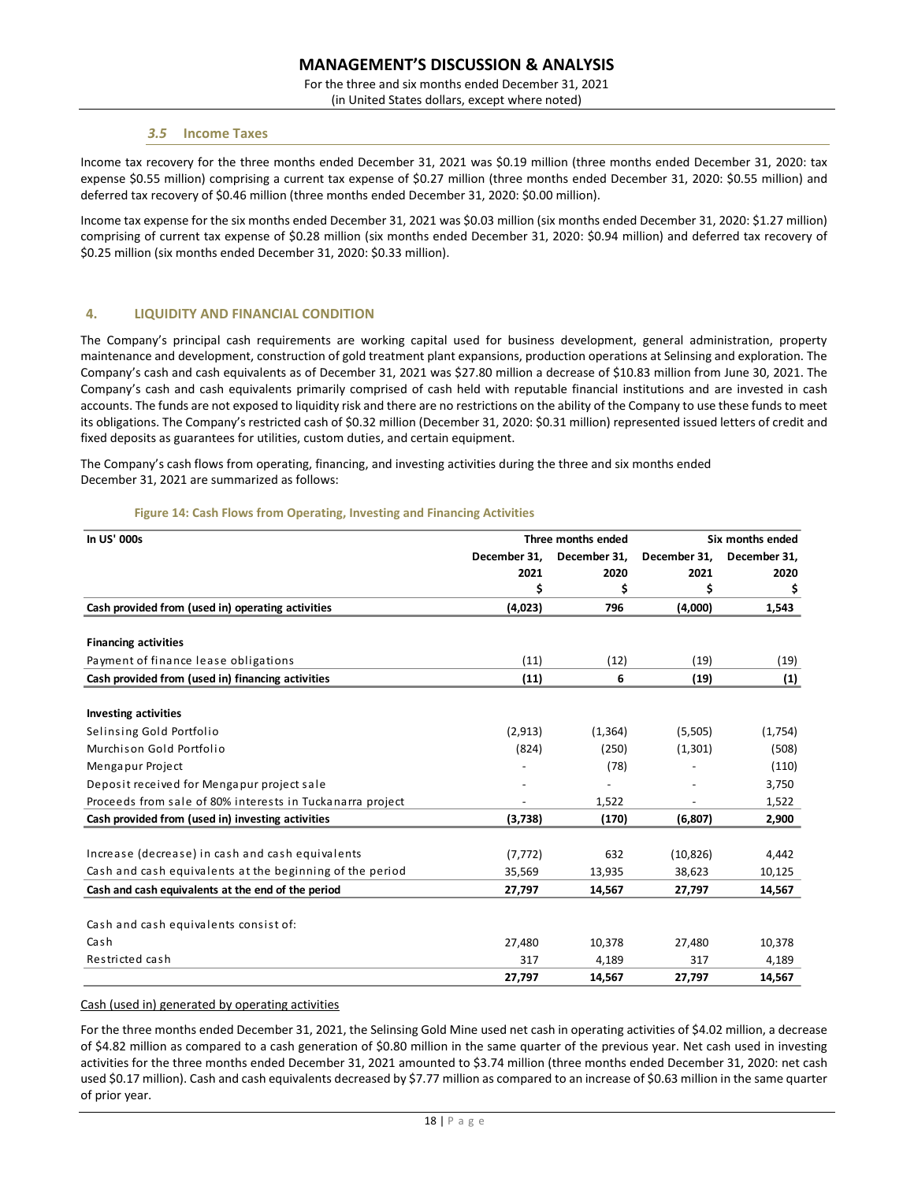For the three and six months ended December 31, 2021

(in United States dollars, except where noted)

### *3.5* **Income Taxes**

Income tax recovery for the three months ended December 31, 2021 was \$0.19 million (three months ended December 31, 2020: tax expense \$0.55 million) comprising a current tax expense of \$0.27 million (three months ended December 31, 2020: \$0.55 million) and deferred tax recovery of \$0.46 million (three months ended December 31, 2020: \$0.00 million).

Income tax expense for the six months ended December 31, 2021 was \$0.03 million (six months ended December 31, 2020: \$1.27 million) comprising of current tax expense of \$0.28 million (six months ended December 31, 2020: \$0.94 million) and deferred tax recovery of \$0.25 million (six months ended December 31, 2020: \$0.33 million).

# **4. LIQUIDITY AND FINANCIAL CONDITION**

The Company's principal cash requirements are working capital used for business development, general administration, property maintenance and development, construction of gold treatment plant expansions, production operations at Selinsing and exploration. The Company's cash and cash equivalents as of December 31, 2021 was \$27.80 million a decrease of \$10.83 million from June 30, 2021. The Company's cash and cash equivalents primarily comprised of cash held with reputable financial institutions and are invested in cash accounts. The funds are not exposed to liquidity risk and there are no restrictions on the ability of the Company to use these funds to meet its obligations. The Company's restricted cash of \$0.32 million (December 31, 2020: \$0.31 million) represented issued letters of credit and fixed deposits as guarantees for utilities, custom duties, and certain equipment.

The Company's cash flows from operating, financing, and investing activities during the three and six months ended December 31, 2021 are summarized as follows:

|  |  | Figure 14: Cash Flows from Operating, Investing and Financing Activities |  |  |
|--|--|--------------------------------------------------------------------------|--|--|
|  |  |                                                                          |  |  |

| In US' 000s                                               |              | Three months ended | Six months ended |              |  |
|-----------------------------------------------------------|--------------|--------------------|------------------|--------------|--|
|                                                           | December 31. | December 31,       | December 31,     | December 31, |  |
|                                                           | 2021         | 2020               | 2021             | 2020         |  |
|                                                           | \$           | \$                 | \$               | \$           |  |
| Cash provided from (used in) operating activities         | (4,023)      | 796                | (4,000)          | 1,543        |  |
|                                                           |              |                    |                  |              |  |
| <b>Financing activities</b>                               |              |                    |                  |              |  |
| Payment of finance lease obligations                      | (11)         | (12)               | (19)             | (19)         |  |
| Cash provided from (used in) financing activities         | (11)         | 6                  | (19)             | (1)          |  |
| <b>Investing activities</b>                               |              |                    |                  |              |  |
| Selinsing Gold Portfolio                                  | (2,913)      | (1,364)            | (5,505)          | (1,754)      |  |
| Murchison Gold Portfolio                                  | (824)        | (250)              | (1,301)          | (508)        |  |
| Mengapur Project                                          |              | (78)               |                  | (110)        |  |
| Deposit received for Mengapur project sale                |              |                    |                  | 3,750        |  |
| Proceeds from sale of 80% interests in Tuckanarra project |              | 1,522              |                  | 1,522        |  |
| Cash provided from (used in) investing activities         | (3,738)      | (170)              | (6,807)          | 2,900        |  |
|                                                           |              |                    |                  |              |  |
| Increase (decrease) in cash and cash equivalents          | (7, 772)     | 632                | (10, 826)        | 4,442        |  |
| Cash and cash equivalents at the beginning of the period  | 35,569       | 13,935             | 38,623           | 10,125       |  |
| Cash and cash equivalents at the end of the period        | 27,797       | 14,567             | 27,797           | 14,567       |  |
| Cash and cash equivalents consist of:                     |              |                    |                  |              |  |
| Cash                                                      | 27,480       | 10,378             | 27,480           | 10,378       |  |
| Restricted cash                                           | 317          | 4,189              | 317              | 4,189        |  |
|                                                           | 27,797       | 14,567             | 27,797           | 14,567       |  |

### Cash (used in) generated by operating activities

For the three months ended December 31, 2021, the Selinsing Gold Mine used net cash in operating activities of \$4.02 million, a decrease of \$4.82 million as compared to a cash generation of \$0.80 million in the same quarter of the previous year. Net cash used in investing activities for the three months ended December 31, 2021 amounted to \$3.74 million (three months ended December 31, 2020: net cash used \$0.17 million). Cash and cash equivalents decreased by \$7.77 million as compared to an increase of \$0.63 million in the same quarter of prior year.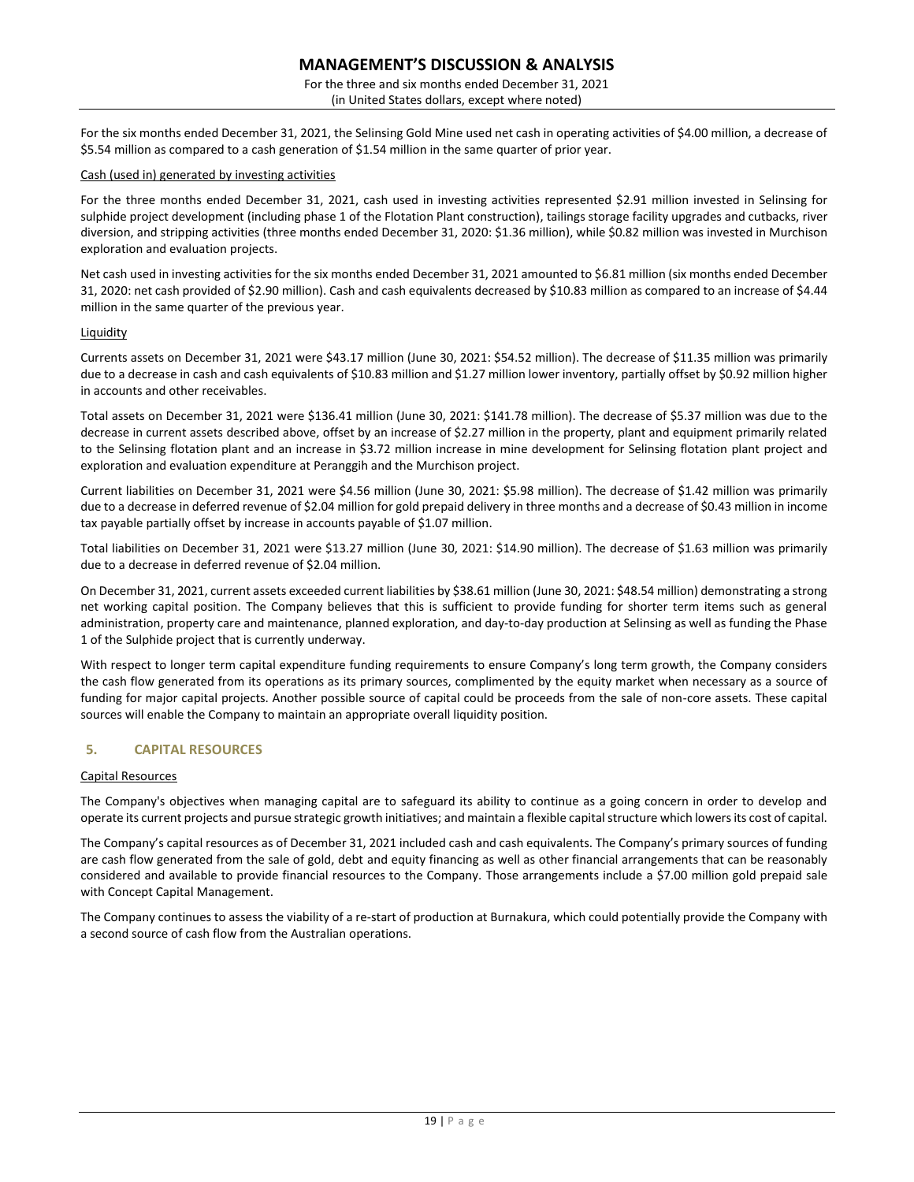For the three and six months ended December 31, 2021 (in United States dollars, except where noted)

For the six months ended December 31, 2021, the Selinsing Gold Mine used net cash in operating activities of \$4.00 million, a decrease of \$5.54 million as compared to a cash generation of \$1.54 million in the same quarter of prior year.

### Cash (used in) generated by investing activities

For the three months ended December 31, 2021, cash used in investing activities represented \$2.91 million invested in Selinsing for sulphide project development (including phase 1 of the Flotation Plant construction), tailings storage facility upgrades and cutbacks, river diversion, and stripping activities (three months ended December 31, 2020: \$1.36 million), while \$0.82 million was invested in Murchison exploration and evaluation projects.

Net cash used in investing activities for the six months ended December 31, 2021 amounted to \$6.81 million (six months ended December 31, 2020: net cash provided of \$2.90 million). Cash and cash equivalents decreased by \$10.83 million as compared to an increase of \$4.44 million in the same quarter of the previous year.

### **Liquidity**

Currents assets on December 31, 2021 were \$43.17 million (June 30, 2021: \$54.52 million). The decrease of \$11.35 million was primarily due to a decrease in cash and cash equivalents of \$10.83 million and \$1.27 million lower inventory, partially offset by \$0.92 million higher in accounts and other receivables.

Total assets on December 31, 2021 were \$136.41 million (June 30, 2021: \$141.78 million). The decrease of \$5.37 million was due to the decrease in current assets described above, offset by an increase of \$2.27 million in the property, plant and equipment primarily related to the Selinsing flotation plant and an increase in \$3.72 million increase in mine development for Selinsing flotation plant project and exploration and evaluation expenditure at Peranggih and the Murchison project.

Current liabilities on December 31, 2021 were \$4.56 million (June 30, 2021: \$5.98 million). The decrease of \$1.42 million was primarily due to a decrease in deferred revenue of \$2.04 million for gold prepaid delivery in three months and a decrease of \$0.43 million in income tax payable partially offset by increase in accounts payable of \$1.07 million.

Total liabilities on December 31, 2021 were \$13.27 million (June 30, 2021: \$14.90 million). The decrease of \$1.63 million was primarily due to a decrease in deferred revenue of \$2.04 million.

On December 31, 2021, current assets exceeded current liabilities by \$38.61 million (June 30, 2021: \$48.54 million) demonstrating a strong net working capital position. The Company believes that this is sufficient to provide funding for shorter term items such as general administration, property care and maintenance, planned exploration, and day-to-day production at Selinsing as well as funding the Phase 1 of the Sulphide project that is currently underway.

With respect to longer term capital expenditure funding requirements to ensure Company's long term growth, the Company considers the cash flow generated from its operations as its primary sources, complimented by the equity market when necessary as a source of funding for major capital projects. Another possible source of capital could be proceeds from the sale of non-core assets. These capital sources will enable the Company to maintain an appropriate overall liquidity position.

# **5. CAPITAL RESOURCES**

### Capital Resources

The Company's objectives when managing capital are to safeguard its ability to continue as a going concern in order to develop and operate its current projects and pursue strategic growth initiatives; and maintain a flexible capital structure which lowers its cost of capital.

The Company's capital resources as of December 31, 2021 included cash and cash equivalents. The Company's primary sources of funding are cash flow generated from the sale of gold, debt and equity financing as well as other financial arrangements that can be reasonably considered and available to provide financial resources to the Company. Those arrangements include a \$7.00 million gold prepaid sale with Concept Capital Management.

The Company continues to assess the viability of a re-start of production at Burnakura, which could potentially provide the Company with a second source of cash flow from the Australian operations.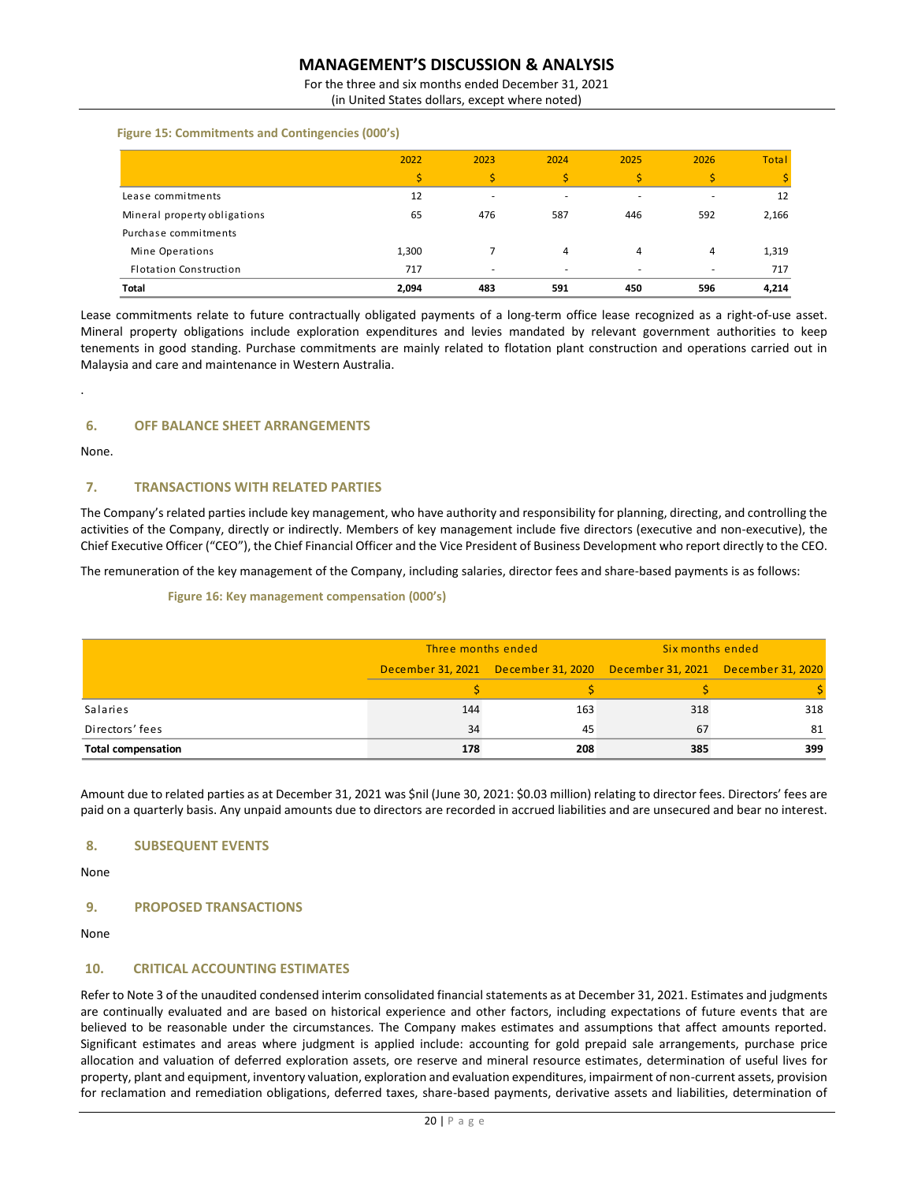For the three and six months ended December 31, 2021 (in United States dollars, except where noted)

 **Figure 15: Commitments and Contingencies (000's)**

|                              | 2022  | 2023                     | 2024 | 2025 | 2026 | <b>Total</b> |
|------------------------------|-------|--------------------------|------|------|------|--------------|
|                              | ¢     |                          |      | Ś    |      |              |
| Lease commitments            | 12    |                          |      |      | ۰    | 12           |
| Mineral property obligations | 65    | 476                      | 587  | 446  | 592  | 2,166        |
| Purchase commitments         |       |                          |      |      |      |              |
| Mine Operations              | 1,300 |                          | 4    | 4    | 4    | 1,319        |
| Flotation Construction       | 717   | $\overline{\phantom{a}}$ |      | ۰    | ۰    | 717          |
| <b>Total</b>                 | 2,094 | 483                      | 591  | 450  | 596  | 4,214        |

Lease commitments relate to future contractually obligated payments of a long-term office lease recognized as a right-of-use asset. Mineral property obligations include exploration expenditures and levies mandated by relevant government authorities to keep tenements in good standing. Purchase commitments are mainly related to flotation plant construction and operations carried out in Malaysia and care and maintenance in Western Australia.

# **6. OFF BALANCE SHEET ARRANGEMENTS**

None.

.

# **7. TRANSACTIONS WITH RELATED PARTIES**

The Company's related parties include key management, who have authority and responsibility for planning, directing, and controlling the activities of the Company, directly or indirectly. Members of key management include five directors (executive and non-executive), the Chief Executive Officer ("CEO"), the Chief Financial Officer and the Vice President of Business Development who report directly to the CEO.

The remuneration of the key management of the Company, including salaries, director fees and share-based payments is as follows:

### **Figure 16: Key management compensation (000's)**

|                           | Three months ended |     | Six months ended                                                        |     |  |
|---------------------------|--------------------|-----|-------------------------------------------------------------------------|-----|--|
|                           |                    |     | December 31, 2021 December 31, 2020 December 31, 2021 December 31, 2020 |     |  |
|                           |                    |     |                                                                         |     |  |
| Salaries                  | 144                | 163 | 318                                                                     | 318 |  |
| Directors' fees           | 34                 | 45  | 67                                                                      | 81  |  |
| <b>Total compensation</b> | 178                | 208 | 385                                                                     | 399 |  |

Amount due to related parties as at December 31, 2021 was \$nil (June 30, 2021: \$0.03 million) relating to director fees. Directors' fees are paid on a quarterly basis. Any unpaid amounts due to directors are recorded in accrued liabilities and are unsecured and bear no interest.

# **8. SUBSEQUENT EVENTS**

None

# **9. PROPOSED TRANSACTIONS**

None

# **10. CRITICAL ACCOUNTING ESTIMATES**

Refer to Note 3 of the unaudited condensed interim consolidated financial statements as at December 31, 2021. Estimates and judgments are continually evaluated and are based on historical experience and other factors, including expectations of future events that are believed to be reasonable under the circumstances. The Company makes estimates and assumptions that affect amounts reported. Significant estimates and areas where judgment is applied include: accounting for gold prepaid sale arrangements, purchase price allocation and valuation of deferred exploration assets, ore reserve and mineral resource estimates, determination of useful lives for property, plant and equipment, inventory valuation, exploration and evaluation expenditures, impairment of non-current assets, provision for reclamation and remediation obligations, deferred taxes, share-based payments, derivative assets and liabilities, determination of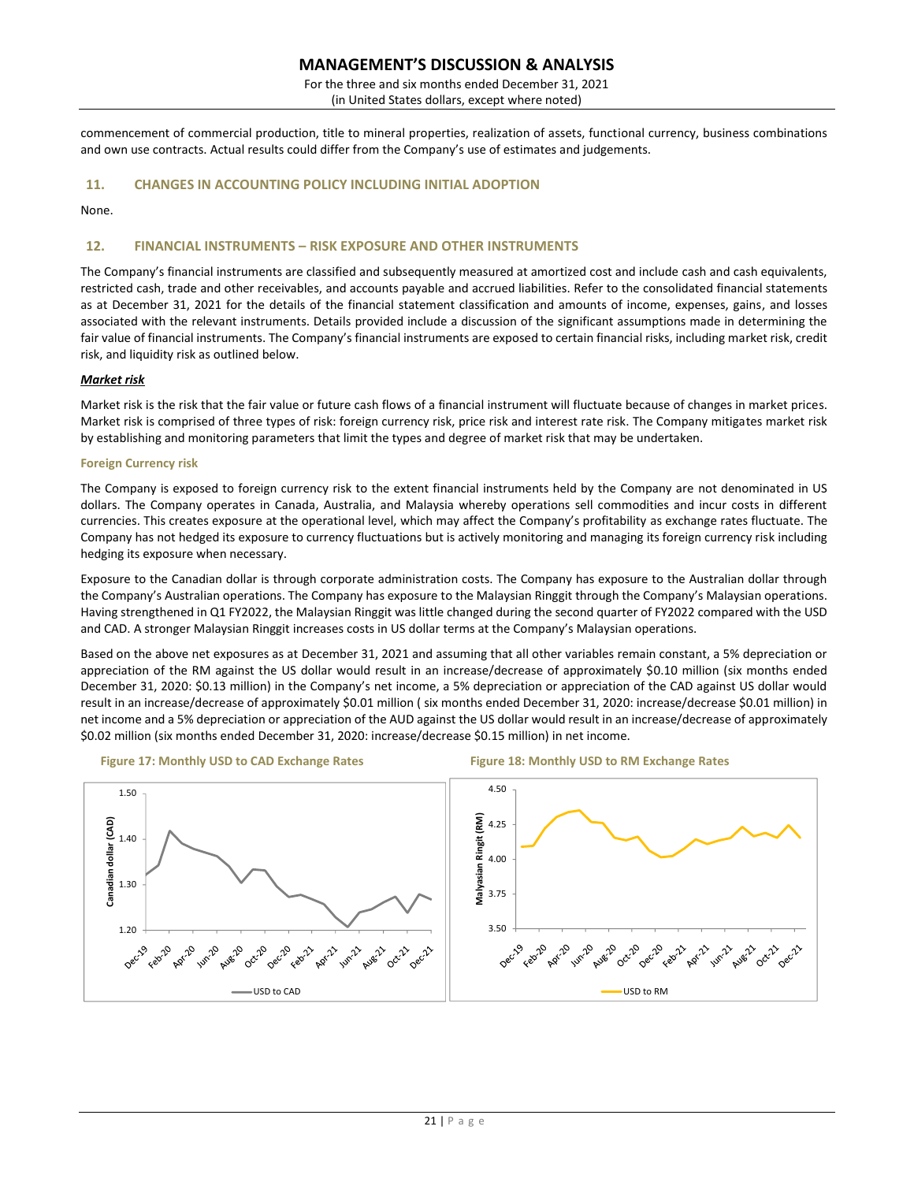For the three and six months ended December 31, 2021

(in United States dollars, except where noted)

commencement of commercial production, title to mineral properties, realization of assets, functional currency, business combinations and own use contracts. Actual results could differ from the Company's use of estimates and judgements.

# **11. CHANGES IN ACCOUNTING POLICY INCLUDING INITIAL ADOPTION**

None.

# **12. FINANCIAL INSTRUMENTS – RISK EXPOSURE AND OTHER INSTRUMENTS**

The Company's financial instruments are classified and subsequently measured at amortized cost and include cash and cash equivalents, restricted cash, trade and other receivables, and accounts payable and accrued liabilities. Refer to the consolidated financial statements as at December 31, 2021 for the details of the financial statement classification and amounts of income, expenses, gains, and losses associated with the relevant instruments. Details provided include a discussion of the significant assumptions made in determining the fair value of financial instruments. The Company's financial instruments are exposed to certain financial risks, including market risk, credit risk, and liquidity risk as outlined below.

### *Market risk*

Market risk is the risk that the fair value or future cash flows of a financial instrument will fluctuate because of changes in market prices. Market risk is comprised of three types of risk: foreign currency risk, price risk and interest rate risk. The Company mitigates market risk by establishing and monitoring parameters that limit the types and degree of market risk that may be undertaken.

### **Foreign Currency risk**

The Company is exposed to foreign currency risk to the extent financial instruments held by the Company are not denominated in US dollars. The Company operates in Canada, Australia, and Malaysia whereby operations sell commodities and incur costs in different currencies. This creates exposure at the operational level, which may affect the Company's profitability as exchange rates fluctuate. The Company has not hedged its exposure to currency fluctuations but is actively monitoring and managing its foreign currency risk including hedging its exposure when necessary.

Exposure to the Canadian dollar is through corporate administration costs. The Company has exposure to the Australian dollar through the Company's Australian operations. The Company has exposure to the Malaysian Ringgit through the Company's Malaysian operations. Having strengthened in Q1 FY2022, the Malaysian Ringgit was little changed during the second quarter of FY2022 compared with the USD and CAD. A stronger Malaysian Ringgit increases costs in US dollar terms at the Company's Malaysian operations.

Based on the above net exposures as at December 31, 2021 and assuming that all other variables remain constant, a 5% depreciation or appreciation of the RM against the US dollar would result in an increase/decrease of approximately \$0.10 million (six months ended December 31, 2020: \$0.13 million) in the Company's net income, a 5% depreciation or appreciation of the CAD against US dollar would result in an increase/decrease of approximately \$0.01 million (six months ended December 31, 2020: increase/decrease \$0.01 million) in net income and a 5% depreciation or appreciation of the AUD against the US dollar would result in an increase/decrease of approximately \$0.02 million (six months ended December 31, 2020: increase/decrease \$0.15 million) in net income.

**Figure 17: Monthly USD to CAD Exchange Rates Figure 18: Monthly USD to RM Exchange Rates** 

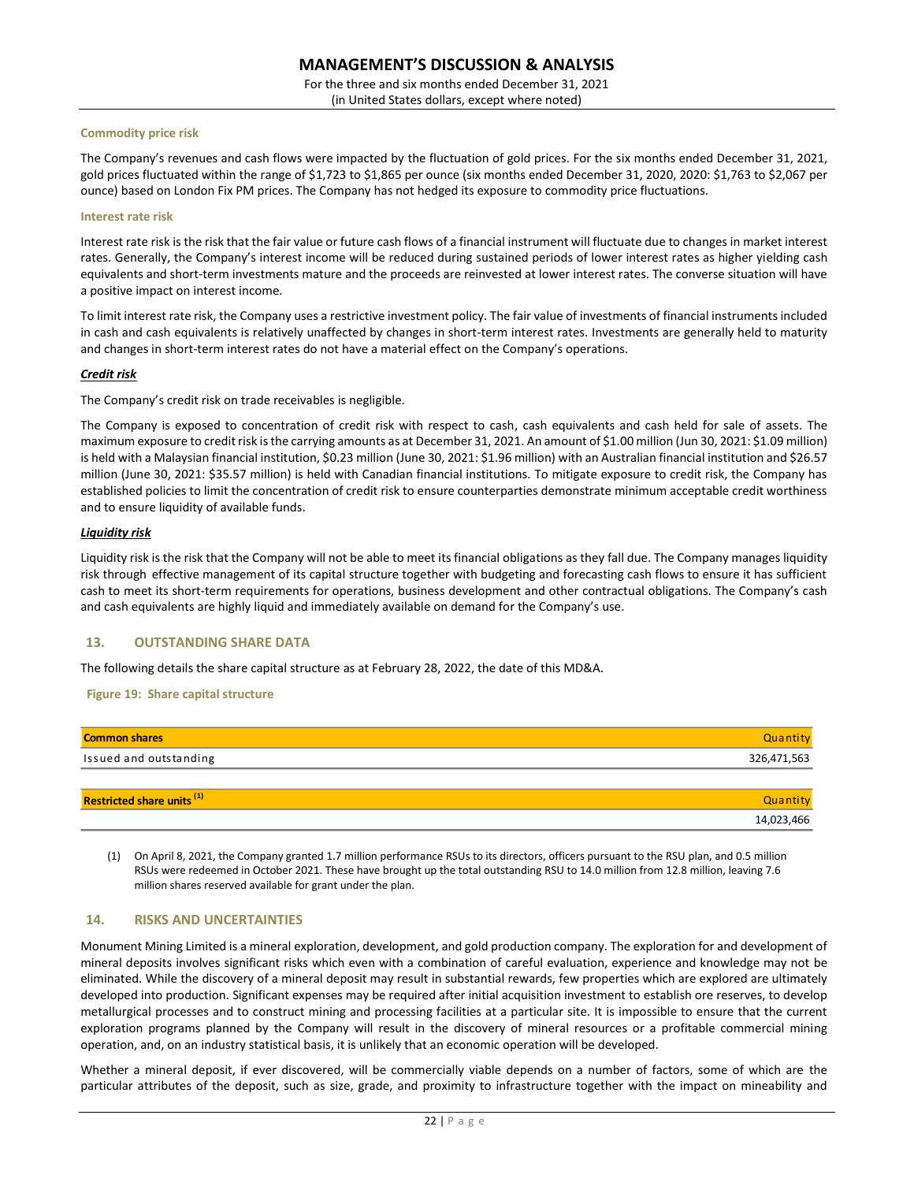For the three and six months ended December 31, 2021 (in United States dollars, except where noted)

### **Commodity price risk**

The Company's revenues and cash flows were impacted by the fluctuation of gold prices. For the six months ended December 31, 2021, gold prices fluctuated within the range of \$1,723 to \$1,865 per ounce (six months ended December 31, 2020, 2020: \$1,763 to \$2,067 per ounce) based on London Fix PM prices. The Company has not hedged its exposure to commodity price fluctuations.

#### **Interest rate risk**

Interest rate risk is the risk that the fair value or future cash flows of a financial instrument will fluctuate due to changes in market interest rates. Generally, the Company's interest income will be reduced during sustained periods of lower interest rates as higher yielding cash equivalents and short-term investments mature and the proceeds are reinvested at lower interest rates. The converse situation will have a positive impact on interest income.

To limit interest rate risk, the Company uses a restrictive investment policy. The fair value of investments of financial instruments included in cash and cash equivalents is relatively unaffected by changes in short-term interest rates. Investments are generally held to maturity and changes in short-term interest rates do not have a material effect on the Company's operations.

### *Credit risk*

The Company's credit risk on trade receivables is negligible.

The Company is exposed to concentration of credit risk with respect to cash, cash equivalents and cash held for sale of assets. The maximum exposure to credit risk is the carrying amounts as at December 31, 2021. An amount of \$1.00 million (Jun 30, 2021: \$1.09 million) is held with a Malaysian financial institution, \$0.23 million (June 30, 2021: \$1.96 million) with an Australian financial institution and \$26.57 million (June 30, 2021: \$35.57 million) is held with Canadian financial institutions. To mitigate exposure to credit risk, the Company has established policies to limit the concentration of credit risk to ensure counterparties demonstrate minimum acceptable credit worthiness and to ensure liquidity of available funds.

### *Liquidity risk*

Liquidity risk is the risk that the Company will not be able to meet its financial obligations as they fall due. The Company manages liquidity risk through effective management of its capital structure together with budgeting and forecasting cash flows to ensure it has sufficient cash to meet its short-term requirements for operations, business development and other contractual obligations. The Company's cash and cash equivalents are highly liquid and immediately available on demand for the Company's use.

# **13. OUTSTANDING SHARE DATA**

The following details the share capital structure as at February 28, 2022, the date of this MD&A.

### **Figure 19: Share capital structure**

| <b>Common shares</b>              | Quantity    |
|-----------------------------------|-------------|
| Issued and outstanding            | 326,471,563 |
|                                   |             |
| <b>Restricted share units (1)</b> | Quantity    |
|                                   | 14,023,466  |

(1) On April 8, 2021, the Company granted 1.7 million performance RSUs to its directors, officers pursuant to the RSU plan, and 0.5 million RSUs were redeemed in October 2021. These have brought up the total outstanding RSU to 14.0 million from 12.8 million, leaving 7.6 million shares reserved available for grant under the plan.

# **14. RISKS AND UNCERTAINTIES**

Monument Mining Limited is a mineral exploration, development, and gold production company. The exploration for and development of mineral deposits involves significant risks which even with a combination of careful evaluation, experience and knowledge may not be eliminated. While the discovery of a mineral deposit may result in substantial rewards, few properties which are explored are ultimately developed into production. Significant expenses may be required after initial acquisition investment to establish ore reserves, to develop metallurgical processes and to construct mining and processing facilities at a particular site. It is impossible to ensure that the current exploration programs planned by the Company will result in the discovery of mineral resources or a profitable commercial mining operation, and, on an industry statistical basis, it is unlikely that an economic operation will be developed. **Example 12**<br> **Restricted share units <sup>(1)</sup><br>
<b>Restricted share units (i)**<br> **Restricted share units (i)**<br>
(1) On April 8, 2021, the Company granted 1.7 million performance RSUs to its directors, officers pursuant to the RSU

Whether a mineral deposit, if ever discovered, will be commercially viable depends on a number of factors, some of which are the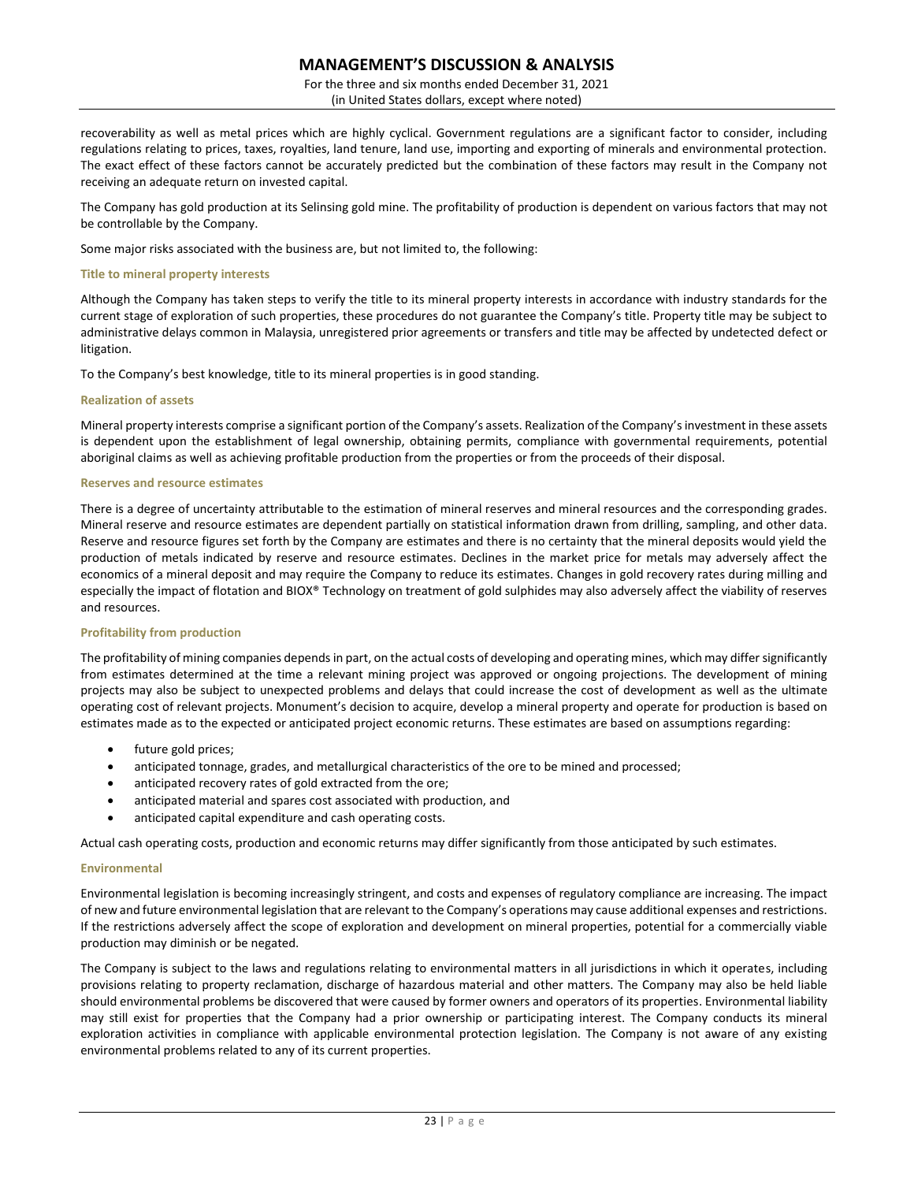For the three and six months ended December 31, 2021 (in United States dollars, except where noted)

recoverability as well as metal prices which are highly cyclical. Government regulations are a significant factor to consider, including regulations relating to prices, taxes, royalties, land tenure, land use, importing and exporting of minerals and environmental protection. The exact effect of these factors cannot be accurately predicted but the combination of these factors may result in the Company not receiving an adequate return on invested capital.

The Company has gold production at its Selinsing gold mine. The profitability of production is dependent on various factors that may not be controllable by the Company.

Some major risks associated with the business are, but not limited to, the following:

#### **Title to mineral property interests**

Although the Company has taken steps to verify the title to its mineral property interests in accordance with industry standards for the current stage of exploration of such properties, these procedures do not guarantee the Company's title. Property title may be subject to administrative delays common in Malaysia, unregistered prior agreements or transfers and title may be affected by undetected defect or litigation.

To the Company's best knowledge, title to its mineral properties is in good standing.

### **Realization of assets**

Mineral property interests comprise a significant portion of the Company's assets. Realization of the Company's investment in these assets is dependent upon the establishment of legal ownership, obtaining permits, compliance with governmental requirements, potential aboriginal claims as well as achieving profitable production from the properties or from the proceeds of their disposal.

#### **Reserves and resource estimates**

There is a degree of uncertainty attributable to the estimation of mineral reserves and mineral resources and the corresponding grades. Mineral reserve and resource estimates are dependent partially on statistical information drawn from drilling, sampling, and other data. Reserve and resource figures set forth by the Company are estimates and there is no certainty that the mineral deposits would yield the production of metals indicated by reserve and resource estimates. Declines in the market price for metals may adversely affect the economics of a mineral deposit and may require the Company to reduce its estimates. Changes in gold recovery rates during milling and especially the impact of flotation and BIOX® Technology on treatment of gold sulphides may also adversely affect the viability of reserves and resources.

### **Profitability from production**

The profitability of mining companies depends in part, on the actual costs of developing and operating mines, which may differ significantly from estimates determined at the time a relevant mining project was approved or ongoing projections. The development of mining projects may also be subject to unexpected problems and delays that could increase the cost of development as well as the ultimate operating cost of relevant projects. Monument's decision to acquire, develop a mineral property and operate for production is based on estimates made as to the expected or anticipated project economic returns. These estimates are based on assumptions regarding:

- future gold prices;
- anticipated tonnage, grades, and metallurgical characteristics of the ore to be mined and processed;
- anticipated recovery rates of gold extracted from the ore;
- anticipated material and spares cost associated with production, and
- anticipated capital expenditure and cash operating costs.

Actual cash operating costs, production and economic returns may differ significantly from those anticipated by such estimates.

### **Environmental**

Environmental legislation is becoming increasingly stringent, and costs and expenses of regulatory compliance are increasing. The impact of new and future environmental legislation that are relevant to the Company's operations may cause additional expenses and restrictions. If the restrictions adversely affect the scope of exploration and development on mineral properties, potential for a commercially viable production may diminish or be negated.

The Company is subject to the laws and regulations relating to environmental matters in all jurisdictions in which it operates, including provisions relating to property reclamation, discharge of hazardous material and other matters. The Company may also be held liable should environmental problems be discovered that were caused by former owners and operators of its properties. Environmental liability may still exist for properties that the Company had a prior ownership or participating interest. The Company conducts its mineral exploration activities in compliance with applicable environmental protection legislation. The Company is not aware of any existing environmental problems related to any of its current properties.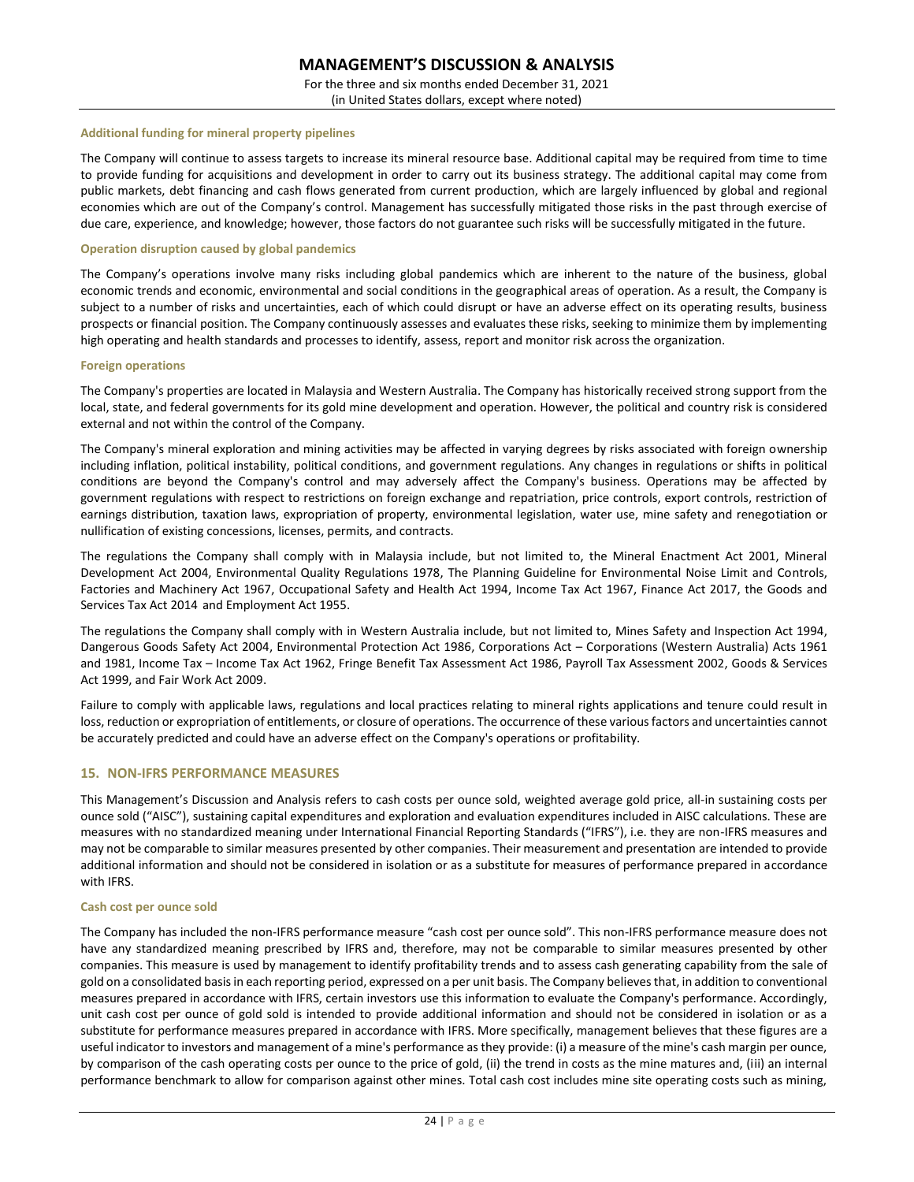For the three and six months ended December 31, 2021 (in United States dollars, except where noted)

#### **Additional funding for mineral property pipelines**

The Company will continue to assess targets to increase its mineral resource base. Additional capital may be required from time to time to provide funding for acquisitions and development in order to carry out its business strategy. The additional capital may come from public markets, debt financing and cash flows generated from current production, which are largely influenced by global and regional economies which are out of the Company's control. Management has successfully mitigated those risks in the past through exercise of due care, experience, and knowledge; however, those factors do not guarantee such risks will be successfully mitigated in the future.

#### **Operation disruption caused by global pandemics**

The Company's operations involve many risks including global pandemics which are inherent to the nature of the business, global economic trends and economic, environmental and social conditions in the geographical areas of operation. As a result, the Company is subject to a number of risks and uncertainties, each of which could disrupt or have an adverse effect on its operating results, business prospects or financial position. The Company continuously assesses and evaluates these risks, seeking to minimize them by implementing high operating and health standards and processes to identify, assess, report and monitor risk across the organization.

#### **Foreign operations**

The Company's properties are located in Malaysia and Western Australia. The Company has historically received strong support from the local, state, and federal governments for its gold mine development and operation. However, the political and country risk is considered external and not within the control of the Company.

The Company's mineral exploration and mining activities may be affected in varying degrees by risks associated with foreign ownership including inflation, political instability, political conditions, and government regulations. Any changes in regulations or shifts in political conditions are beyond the Company's control and may adversely affect the Company's business. Operations may be affected by government regulations with respect to restrictions on foreign exchange and repatriation, price controls, export controls, restriction of earnings distribution, taxation laws, expropriation of property, environmental legislation, water use, mine safety and renegotiation or nullification of existing concessions, licenses, permits, and contracts.

The regulations the Company shall comply with in Malaysia include, but not limited to, the Mineral Enactment Act 2001, Mineral Development Act 2004, Environmental Quality Regulations 1978, The Planning Guideline for Environmental Noise Limit and Controls, Factories and Machinery Act 1967, Occupational Safety and Health Act 1994, Income Tax Act 1967, Finance Act 2017, the Goods and Services Tax Act 2014 and Employment Act 1955.

The regulations the Company shall comply with in Western Australia include, but not limited to, Mines Safety and Inspection Act 1994, Dangerous Goods Safety Act 2004, Environmental Protection Act 1986, Corporations Act – Corporations (Western Australia) Acts 1961 and 1981, Income Tax – Income Tax Act 1962, Fringe Benefit Tax Assessment Act 1986, Payroll Tax Assessment 2002, Goods & Services Act 1999, and Fair Work Act 2009.

Failure to comply with applicable laws, regulations and local practices relating to mineral rights applications and tenure could result in loss, reduction or expropriation of entitlements, or closure of operations. The occurrence of these various factors and uncertainties cannot be accurately predicted and could have an adverse effect on the Company's operations or profitability.

### **15. NON-IFRS PERFORMANCE MEASURES**

This Management's Discussion and Analysis refers to cash costs per ounce sold, weighted average gold price, all-in sustaining costs per ounce sold ("AISC"), sustaining capital expenditures and exploration and evaluation expenditures included in AISC calculations. These are measures with no standardized meaning under International Financial Reporting Standards ("IFRS"), i.e. they are non-IFRS measures and may not be comparable to similar measures presented by other companies. Their measurement and presentation are intended to provide additional information and should not be considered in isolation or as a substitute for measures of performance prepared in accordance with IFRS.

#### **Cash cost per ounce sold**

The Company has included the non-IFRS performance measure "cash cost per ounce sold". This non-IFRS performance measure does not have any standardized meaning prescribed by IFRS and, therefore, may not be comparable to similar measures presented by other companies. This measure is used by management to identify profitability trends and to assess cash generating capability from the sale of gold on a consolidated basis in each reporting period, expressed on a per unit basis. The Company believes that, in addition to conventional measures prepared in accordance with IFRS, certain investors use this information to evaluate the Company's performance. Accordingly, unit cash cost per ounce of gold sold is intended to provide additional information and should not be considered in isolation or as a substitute for performance measures prepared in accordance with IFRS. More specifically, management believes that these figures are a useful indicator to investors and management of a mine's performance as they provide: (i) a measure of the mine's cash margin per ounce, by comparison of the cash operating costs per ounce to the price of gold, (ii) the trend in costs as the mine matures and, (iii) an internal performance benchmark to allow for comparison against other mines. Total cash cost includes mine site operating costs such as mining,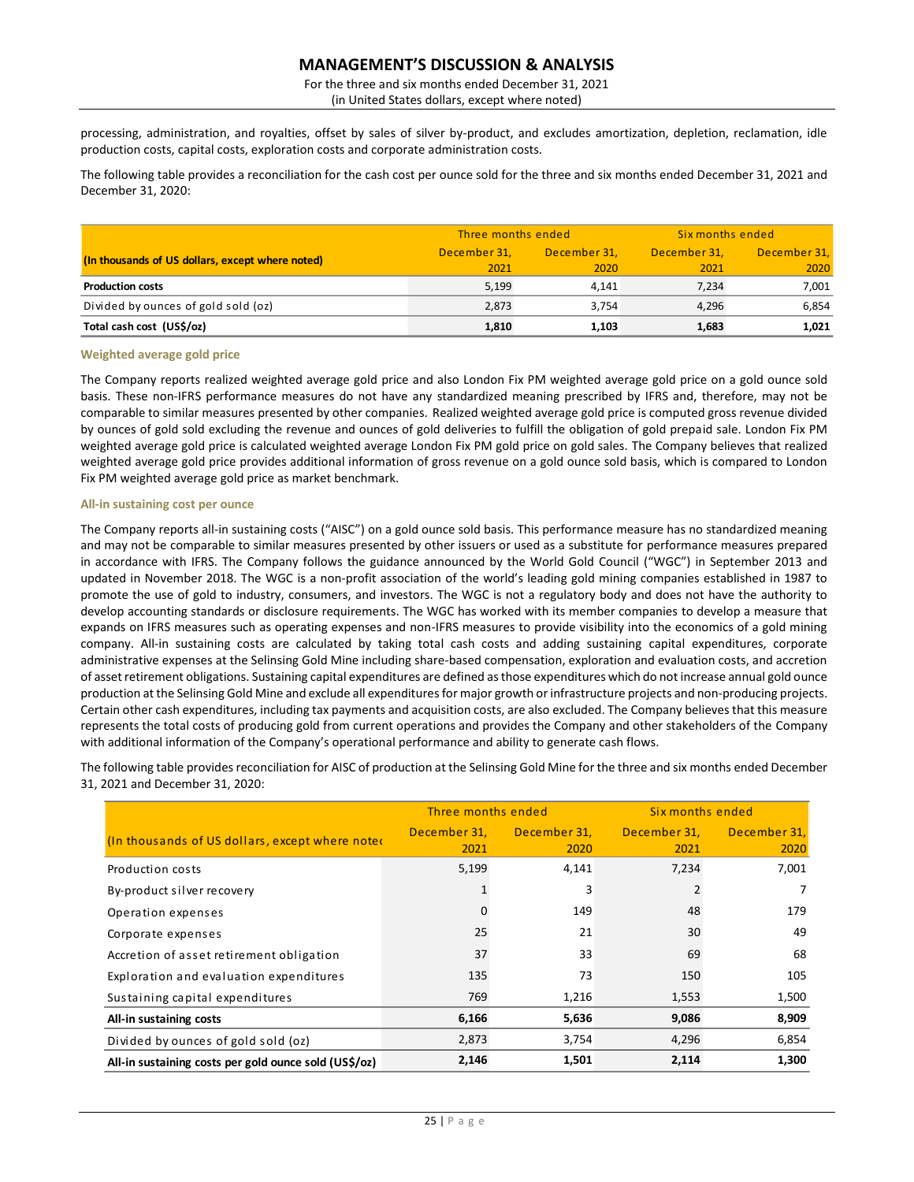For the three and six months ended December 31, 2021

(in United States dollars, except where noted)

processing, administration, and royalties, offset by sales of silver by-product, and excludes amortization, depletion, reclamation, idle production costs, capital costs, exploration costs and corporate administration costs.

The following table provides a reconciliation for the cash cost per ounce sold for the three and six months ended December 31, 2021 and December 31, 2020:

|                                                  | Three months ended |              | Six months ended |              |
|--------------------------------------------------|--------------------|--------------|------------------|--------------|
| (In thousands of US dollars, except where noted) | December 31,       | December 31. | December 31.     | December 31, |
|                                                  | 2021               | 2020         | 2021             | 2020         |
| <b>Production costs</b>                          | 5.199              | 4.141        | 7.234            | 7,001        |
| Divided by ounces of gold sold (oz)              | 2.873              | 3.754        | 4.296            | 6,854        |
| Total cash cost (US\$/oz)                        | 1,810              | 1.103        | 1,683            | 1,021        |

#### **Weighted average gold price**

The Company reports realized weighted average gold price and also London Fix PM weighted average gold price on a gold ounce sold basis. These non-IFRS performance measures do not have any standardized meaning prescribed by IFRS and, therefore, may not be comparable to similar measures presented by other companies. Realized weighted average gold price is computed gross revenue divided by ounces of gold sold excluding the revenue and ounces of gold deliveries to fulfill the obligation of gold prepaid sale. London Fix PM weighted average gold price is calculated weighted average London Fix PM gold price on gold sales. The Company believes that realized weighted average gold price provides additional information of gross revenue on a gold ounce sold basis, which is compared to London Fix PM weighted average gold price as market benchmark.

### **All-in sustaining cost per ounce**

The Company reports all-in sustaining costs ("AISC") on a gold ounce sold basis. This performance measure has no standardized meaning and may not be comparable to similar measures presented by other issuers or used as a substitute for performance measures prepared in accordance with IFRS. The Company follows the guidance announced by the World Gold Council ("WGC") in September 2013 and updated in November 2018. The WGC is a non-profit association of the world's leading gold mining companies established in 1987 to promote the use of gold to industry, consumers, and investors. The WGC is not a regulatory body and does not have the authority to develop accounting standards or disclosure requirements. The WGC has worked with its member companies to develop a measure that expands on IFRS measures such as operating expenses and non-IFRS measures to provide visibility into the economics of a gold mining company. All-in sustaining costs are calculated by taking total cash costs and adding sustaining capital expenditures, corporate administrative expenses at the Selinsing Gold Mine including share-based compensation, exploration and evaluation costs, and accretion of asset retirement obligations. Sustaining capital expenditures are defined as those expenditures which do not increase annual gold ounce production at the Selinsing Gold Mine and exclude all expenditures for major growth or infrastructure projects and non-producing projects. Certain other cash expenditures, including tax payments and acquisition costs, are also excluded. The Company believes that this measure represents the total costs of producing gold from current operations and provides the Company and other stakeholders of the Company with additional information of the Company's operational performance and ability to generate cash flows.

The following table provides reconciliation for AISC of production at the Selinsing Gold Mine for the three and six months ended December 31, 2021 and December 31, 2020:

|                                                       | Three months ended |              | Six months ended |              |
|-------------------------------------------------------|--------------------|--------------|------------------|--------------|
| (In thousands of US dollars, except where noted       | December 31,       | December 31, | December 31,     | December 31, |
|                                                       | 2021               | 2020         | 2021             | 2020         |
| Production costs                                      | 5,199              | 4,141        | 7,234            | 7,001        |
| By-product silver recovery                            |                    | 3            |                  |              |
| Operation expenses                                    |                    | 149          | 48               | 179          |
| Corporate expenses                                    | 25                 | 21           | 30               | 49           |
| Accretion of asset retirement obligation              | 37                 | 33           | 69               | 68           |
| Exploration and evaluation expenditures               | 135                | 73           | 150              | 105          |
| Sustaining capital expenditures                       | 769                | 1,216        | 1,553            | 1,500        |
| All-in sustaining costs                               | 6,166              | 5,636        | 9,086            | 8,909        |
| Divided by ounces of gold sold (oz)                   | 2,873              | 3,754        | 4,296            | 6,854        |
| All-in sustaining costs per gold ounce sold (US\$/oz) | 2,146              | 1,501        | 2,114            | 1,300        |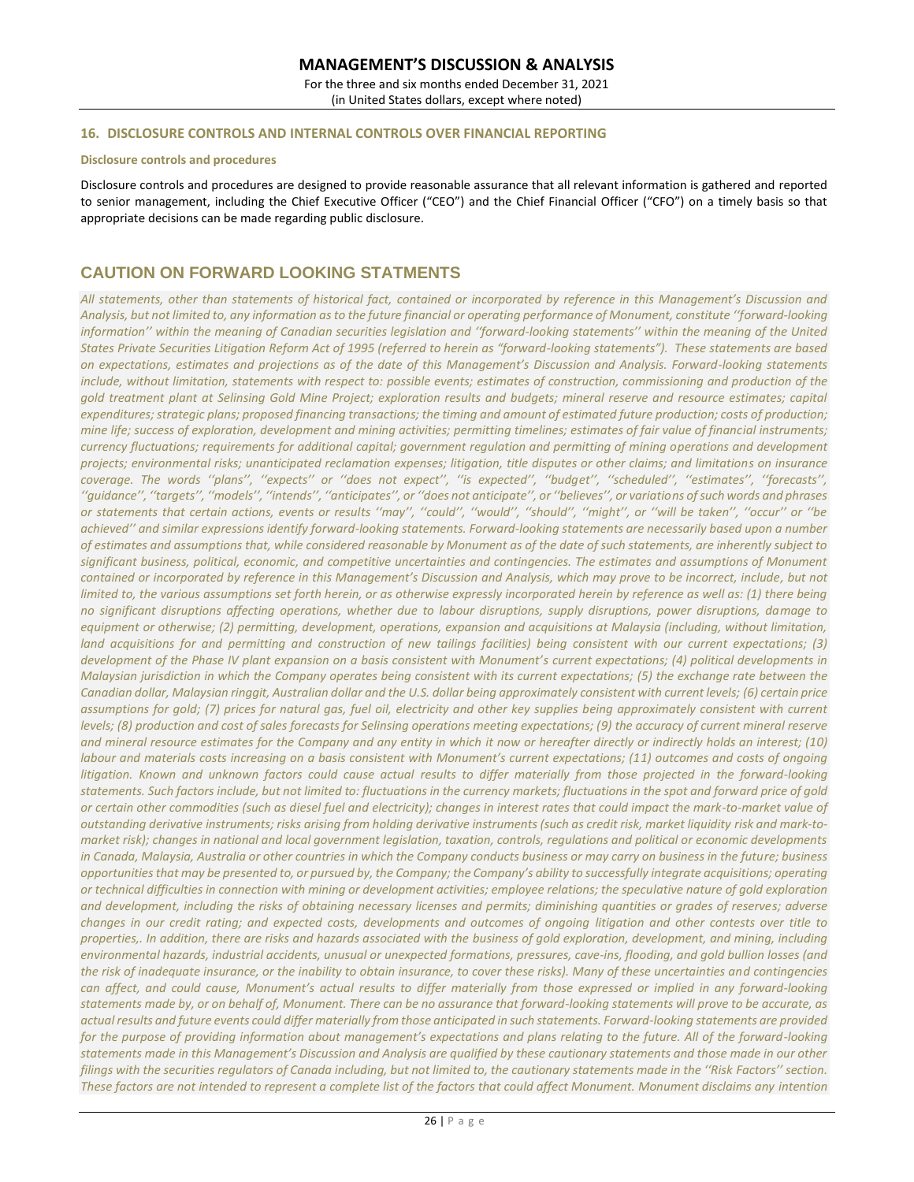For the three and six months ended December 31, 2021 (in United States dollars, except where noted)

### **16. DISCLOSURE CONTROLS AND INTERNAL CONTROLS OVER FINANCIAL REPORTING**

#### **Disclosure controls and procedures**

Disclosure controls and procedures are designed to provide reasonable assurance that all relevant information is gathered and reported to senior management, including the Chief Executive Officer ("CEO") and the Chief Financial Officer ("CFO") on a timely basis so that appropriate decisions can be made regarding public disclosure.

# **CAUTION ON FORWARD LOOKING STATMENTS**

*All statements, other than statements of historical fact, contained or incorporated by reference in this Management's Discussion and Analysis, but not limited to, any information as to the future financial or operating performance of Monument, constitute ''forward-looking*  information" within the meaning of Canadian securities legislation and "forward-looking statements" within the meaning of the United States Private Securities Litigation Reform Act of 1995 (referred to herein as "forward-looking statements"). These statements are based *on expectations, estimates and projections as of the date of this Management's Discussion and Analysis. Forward-looking statements include, without limitation, statements with respect to: possible events; estimates of construction, commissioning and production of the gold treatment plant at Selinsing Gold Mine Project; exploration results and budgets; mineral reserve and resource estimates; capital expenditures; strategic plans; proposed financing transactions; the timing and amount of estimated future production; costs of production; mine life; success of exploration, development and mining activities; permitting timelines; estimates of fair value of financial instruments; currency fluctuations; requirements for additional capital; government regulation and permitting of mining operations and development projects; environmental risks; unanticipated reclamation expenses; litigation, title disputes or other claims; and limitations on insurance coverage. The words ''plans'', ''expects'' or ''does not expect'', ''is expected'', ''budget'', ''scheduled'', ''estimates'', ''forecasts'', ''guidance'', ''targets'', ''models'', ''intends'', ''anticipates'', or ''does not anticipate'', or ''believes'', or variations of such words and phrases or statements that certain actions, events or results ''may'', ''could'', ''would'', ''should'', ''might'', or ''will be taken'', ''occur'' or ''be achieved'' and similar expressions identify forward-looking statements. Forward-looking statements are necessarily based upon a number of estimates and assumptions that, while considered reasonable by Monument as of the date of such statements, are inherently subject to significant business, political, economic, and competitive uncertainties and contingencies. The estimates and assumptions of Monument contained or incorporated by reference in this Management's Discussion and Analysis, which may prove to be incorrect, include, but not limited to, the various assumptions set forth herein, or as otherwise expressly incorporated herein by reference as well as: (1) there being no significant disruptions affecting operations, whether due to labour disruptions, supply disruptions, power disruptions, damage to equipment or otherwise; (2) permitting, development, operations, expansion and acquisitions at Malaysia (including, without limitation, land acquisitions for and permitting and construction of new tailings facilities) being consistent with our current expectations; (3) development of the Phase IV plant expansion on a basis consistent with Monument's current expectations; (4) political developments in Malaysian jurisdiction in which the Company operates being consistent with its current expectations; (5) the exchange rate between the Canadian dollar, Malaysian ringgit, Australian dollar and the U.S. dollar being approximately consistent with current levels; (6) certain price assumptions for gold; (7) prices for natural gas, fuel oil, electricity and other key supplies being approximately consistent with current levels; (8) production and cost of sales forecasts for Selinsing operations meeting expectations; (9) the accuracy of current mineral reserve and mineral resource estimates for the Company and any entity in which it now or hereafter directly or indirectly holds an interest; (10) labour and materials costs increasing on a basis consistent with Monument's current expectations; (11) outcomes and costs of ongoing litigation. Known and unknown factors could cause actual results to differ materially from those projected in the forward-looking statements. Such factors include, but not limited to: fluctuations in the currency markets; fluctuations in the spot and forward price of gold or certain other commodities (such as diesel fuel and electricity); changes in interest rates that could impact the mark-to-market value of outstanding derivative instruments; risks arising from holding derivative instruments (such as credit risk, market liquidity risk and mark-tomarket risk); changes in national and local government legislation, taxation, controls, regulations and political or economic developments in Canada, Malaysia, Australia or other countries in which the Company conducts business or may carry on business in the future; business opportunities that may be presented to, or pursued by, the Company; the Company's ability to successfully integrate acquisitions; operating or technical difficulties in connection with mining or development activities; employee relations; the speculative nature of gold exploration and development, including the risks of obtaining necessary licenses and permits; diminishing quantities or grades of reserves; adverse changes in our credit rating; and expected costs, developments and outcomes of ongoing litigation and other contests over title to properties,. In addition, there are risks and hazards associated with the business of gold exploration, development, and mining, including environmental hazards, industrial accidents, unusual or unexpected formations, pressures, cave-ins, flooding, and gold bullion losses (and the risk of inadequate insurance, or the inability to obtain insurance, to cover these risks). Many of these uncertainties and contingencies can affect, and could cause, Monument's actual results to differ materially from those expressed or implied in any forward-looking statements made by, or on behalf of, Monument. There can be no assurance that forward-looking statements will prove to be accurate, as actual results and future events could differ materially from those anticipated in such statements. Forward-looking statements are provided*  for the purpose of providing information about management's expectations and plans relating to the future. All of the forward-looking *statements made in this Management's Discussion and Analysis are qualified by these cautionary statements and those made in our other filings with the securities regulators of Canada including, but not limited to, the cautionary statements made in the ''Risk Factors'' section. These factors are not intended to represent a complete list of the factors that could affect Monument. Monument disclaims any intention*